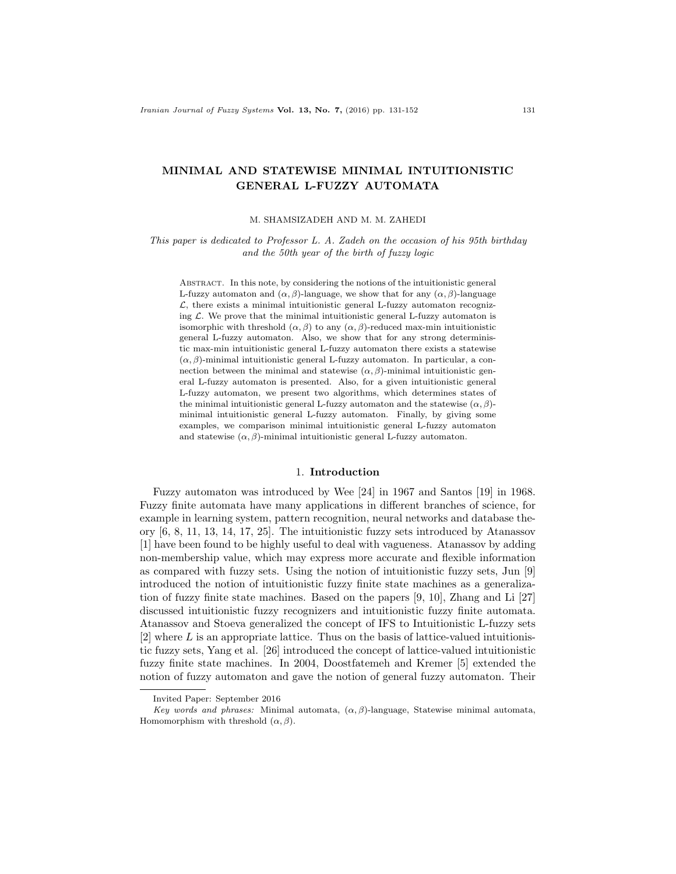# MINIMAL AND STATEWISE MINIMAL INTUITIONISTIC GENERAL L-FUZZY AUTOMATA

M. SHAMSIZADEH AND M. M. ZAHEDI

This paper is dedicated to Professor L. A. Zadeh on the occasion of his 95th birthday and the 50th year of the birth of fuzzy logic

Abstract. In this note, by considering the notions of the intuitionistic general L-fuzzy automaton and  $(\alpha, \beta)$ -language, we show that for any  $(\alpha, \beta)$ -language  $\mathcal{L}$ , there exists a minimal intuitionistic general L-fuzzy automaton recognizing  $\mathcal L$ . We prove that the minimal intuitionistic general L-fuzzy automaton is isomorphic with threshold  $(\alpha, \beta)$  to any  $(\alpha, \beta)$ -reduced max-min intuitionistic general L-fuzzy automaton. Also, we show that for any strong deterministic max-min intuitionistic general L-fuzzy automaton there exists a statewise  $(\alpha, \beta)$ -minimal intuitionistic general L-fuzzy automaton. In particular, a connection between the minimal and statewise  $(\alpha, \beta)$ -minimal intuitionistic general L-fuzzy automaton is presented. Also, for a given intuitionistic general L-fuzzy automaton, we present two algorithms, which determines states of the minimal intuitionistic general L-fuzzy automaton and the statewise  $(\alpha, \beta)$ minimal intuitionistic general L-fuzzy automaton. Finally, by giving some examples, we comparison minimal intuitionistic general L-fuzzy automaton and statewise  $(\alpha, \beta)$ -minimal intuitionistic general L-fuzzy automaton.

### 1. Introduction

Fuzzy automaton was introduced by Wee [24] in 1967 and Santos [19] in 1968. Fuzzy finite automata have many applications in different branches of science, for example in learning system, pattern recognition, neural networks and database theory [6, 8, 11, 13, 14, 17, 25]. The intuitionistic fuzzy sets introduced by Atanassov [1] have been found to be highly useful to deal with vagueness. Atanassov by adding non-membership value, which may express more accurate and flexible information as compared with fuzzy sets. Using the notion of intuitionistic fuzzy sets, Jun [9] introduced the notion of intuitionistic fuzzy finite state machines as a generalization of fuzzy finite state machines. Based on the papers [9, 10], Zhang and Li [27] discussed intuitionistic fuzzy recognizers and intuitionistic fuzzy finite automata. Atanassov and Stoeva generalized the concept of IFS to Intuitionistic L-fuzzy sets [2] where L is an appropriate lattice. Thus on the basis of lattice-valued intuitionistic fuzzy sets, Yang et al. [26] introduced the concept of lattice-valued intuitionistic fuzzy finite state machines. In 2004, Doostfatemeh and Kremer [5] extended the notion of fuzzy automaton and gave the notion of general fuzzy automaton. Their

Invited Paper: September 2016

Key words and phrases: Minimal automata,  $(\alpha, \beta)$ -language, Statewise minimal automata, Homomorphism with threshold  $(\alpha, \beta)$ .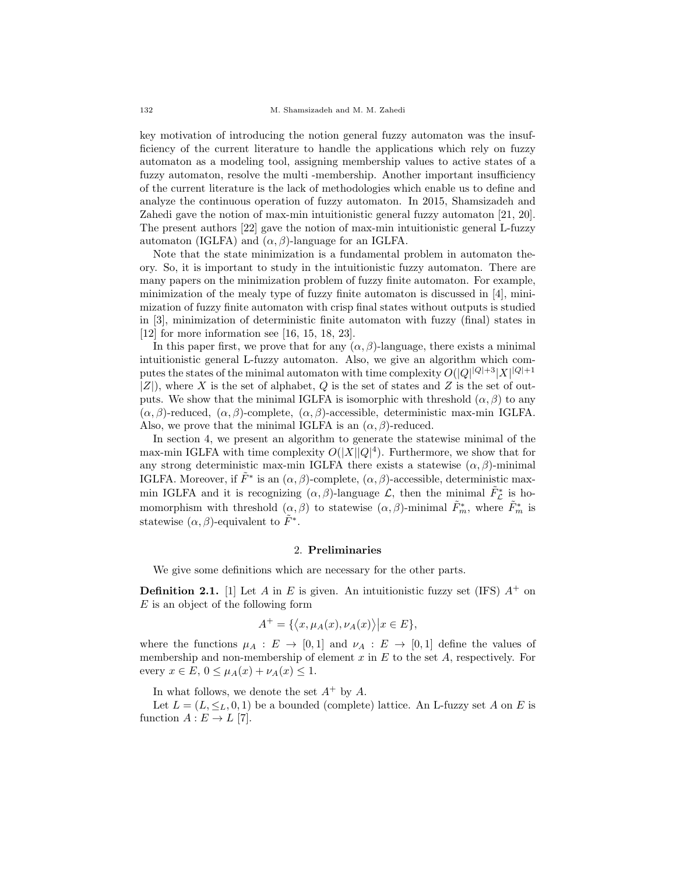key motivation of introducing the notion general fuzzy automaton was the insufficiency of the current literature to handle the applications which rely on fuzzy automaton as a modeling tool, assigning membership values to active states of a fuzzy automaton, resolve the multi-membership. Another important insufficiency of the current literature is the lack of methodologies which enable us to define and analyze the continuous operation of fuzzy automaton. In 2015, Shamsizadeh and Zahedi gave the notion of max-min intuitionistic general fuzzy automaton [21, 20]. The present authors [22] gave the notion of max-min intuitionistic general L-fuzzy automaton (IGLFA) and  $(\alpha, \beta)$ -language for an IGLFA.

Note that the state minimization is a fundamental problem in automaton theory. So, it is important to study in the intuitionistic fuzzy automaton. There are many papers on the minimization problem of fuzzy finite automaton. For example, minimization of the mealy type of fuzzy finite automaton is discussed in [4], minimization of fuzzy finite automaton with crisp final states without outputs is studied in [3], minimization of deterministic finite automaton with fuzzy (final) states in [12] for more information see [16, 15, 18, 23].

In this paper first, we prove that for any  $(\alpha, \beta)$ -language, there exists a minimal intuitionistic general L-fuzzy automaton. Also, we give an algorithm which computes the states of the minimal automaton with time complexity  $O(|Q|^{|Q|+3} |X|^{|Q|+1})$  $|Z|$ ), where X is the set of alphabet, Q is the set of states and Z is the set of outputs. We show that the minimal IGLFA is isomorphic with threshold  $(\alpha, \beta)$  to any  $(\alpha, \beta)$ -reduced,  $(\alpha, \beta)$ -complete,  $(\alpha, \beta)$ -accessible, deterministic max-min IGLFA. Also, we prove that the minimal IGLFA is an  $(\alpha, \beta)$ -reduced.

In section 4, we present an algorithm to generate the statewise minimal of the max-min IGLFA with time complexity  $O(|X||Q|^4)$ . Furthermore, we show that for any strong deterministic max-min IGLFA there exists a statewise  $(\alpha, \beta)$ -minimal IGLFA. Moreover, if  $\tilde{F}^*$  is an  $(\alpha, \beta)$ -complete,  $(\alpha, \beta)$ -accessible, deterministic maxmin IGLFA and it is recognizing  $(\alpha, \beta)$ -language  $\mathcal{L}$ , then the minimal  $\tilde{F}_{\mathcal{L}}^*$  is homomorphism with threshold  $(\alpha, \beta)$  to statewise  $(\alpha, \beta)$ -minimal  $\tilde{F}_{m}^{*}$ , where  $\tilde{F}_{m}^{*}$  is statewise  $(\alpha, \beta)$ -equivalent to  $\tilde{F}^*$ .

#### 2. Preliminaries

We give some definitions which are necessary for the other parts.

**Definition 2.1.** [1] Let A in E is given. An intuitionistic fuzzy set (IFS)  $A^+$  on E is an object of the following form

$$
A^+ = \{ \langle x, \mu_A(x), \nu_A(x) \rangle \big| x \in E \},\
$$

where the functions  $\mu_A : E \to [0,1]$  and  $\nu_A : E \to [0,1]$  define the values of membership and non-membership of element  $x$  in  $E$  to the set  $A$ , respectively. For every  $x \in E$ ,  $0 \leq \mu_A(x) + \nu_A(x) \leq 1$ .

In what follows, we denote the set  $A^+$  by  $A$ .

Let  $L = (L, \leq_L, 0, 1)$  be a bounded (complete) lattice. An L-fuzzy set A on E is function  $A: E \to L$  [7].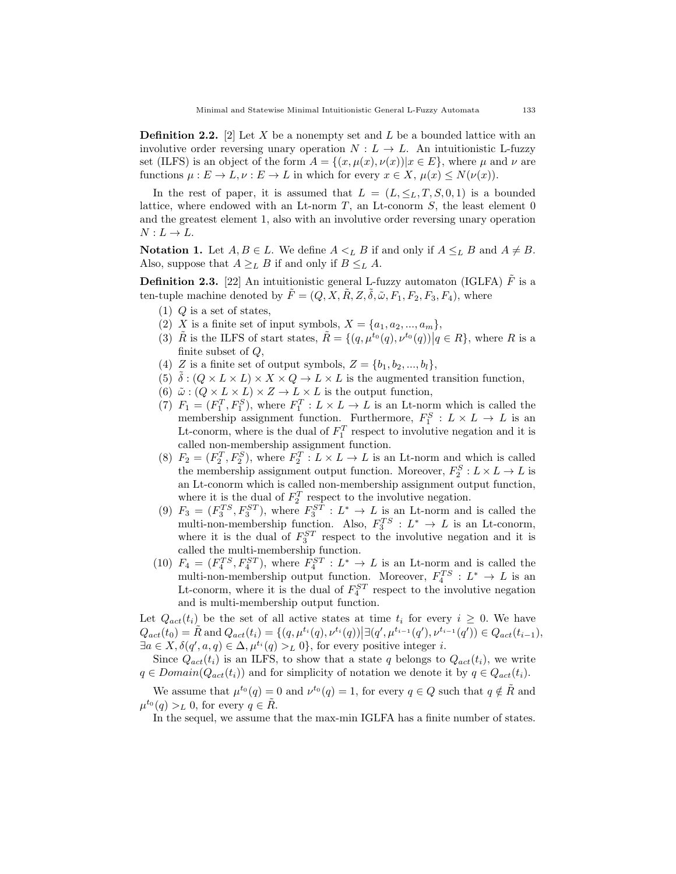**Definition 2.2.** [2] Let X be a nonempty set and L be a bounded lattice with an involutive order reversing unary operation  $N : L \to L$ . An intuitionistic L-fuzzy set (ILFS) is an object of the form  $A = \{(x, \mu(x), \nu(x)) | x \in E\}$ , where  $\mu$  and  $\nu$  are functions  $\mu : E \to L, \nu : E \to L$  in which for every  $x \in X$ ,  $\mu(x) \le N(\nu(x))$ .

In the rest of paper, it is assumed that  $L = (L, \leq_L, T, S, 0, 1)$  is a bounded lattice, where endowed with an Lt-norm  $T$ , an Lt-conorm  $S$ , the least element 0 and the greatest element 1, also with an involutive order reversing unary operation  $N: L \to L$ .

**Notation 1.** Let  $A, B \in L$ . We define  $A \leq_L B$  if and only if  $A \leq_L B$  and  $A \neq B$ . Also, suppose that  $A \geq_L B$  if and only if  $B \leq_L A$ .

**Definition 2.3.** [22] An intuitionistic general L-fuzzy automaton (IGLFA)  $\hat{F}$  is a ten-tuple machine denoted by  $\tilde{F} = (Q, X, \tilde{R}, Z, \tilde{\delta}, \tilde{\omega}, F_1, F_2, F_3, F_4)$ , where

- $(1)$  Q is a set of states,
- (2) X is a finite set of input symbols,  $X = \{a_1, a_2, ..., a_m\},\$
- (3)  $\tilde{R}$  is the ILFS of start states,  $\tilde{R} = \{ (q, \mu^{t_0}(q), \nu^{t_0}(q)) | q \in R \}$ , where R is a finite subset of  $Q$ ,
- (4) Z is a finite set of output symbols,  $Z = \{b_1, b_2, ..., b_l\},\$
- (5)  $\delta : (Q \times L \times L) \times X \times Q \rightarrow L \times L$  is the augmented transition function,
- (6)  $\tilde{\omega}$  :  $(Q \times L \times L) \times Z \rightarrow L \times L$  is the output function,
- (7)  $F_1 = (F_1^T, F_1^S)$ , where  $F_1^T : L \times L \to L$  is an Lt-norm which is called the membership assignment function. Furthermore,  $F_1^S: L \times L \to L$  is an Lt-conorm, where is the dual of  $F_1^T$  respect to involutive negation and it is called non-membership assignment function.
- (8)  $F_2 = (F_2^T, F_2^S)$ , where  $F_2^T : L \times L \to L$  is an Lt-norm and which is called the membership assignment output function. Moreover,  $F_2^S: L \times L \to L$  is an Lt-conorm which is called non-membership assignment output function, where it is the dual of  $F_2^T$  respect to the involutive negation.
- (9)  $F_3 = (F_3^{TS}, F_3^{ST})$ , where  $F_3^{ST} : L^* \to L$  is an Lt-norm and is called the multi-non-membership function. Also,  $F_3^{TS}: L^* \to L$  is an Lt-conorm, where it is the dual of  $F_3^{ST}$  respect to the involutive negation and it is called the multi-membership function.
- (10)  $F_4 = (F_4^{TS}, F_4^{ST})$ , where  $F_4^{ST} : L^* \to L$  is an Lt-norm and is called the multi-non-membership output function. Moreover,  $F_4^{TS}$  :  $L^* \to L$  is an Lt-conorm, where it is the dual of  $F_4^{ST}$  respect to the involutive negation and is multi-membership output function.

Let  $Q_{act}(t_i)$  be the set of all active states at time  $t_i$  for every  $i \geq 0$ . We have  $Q_{act}(t_0) = \tilde{R}$  and  $Q_{act}(t_i) = \{(q, \mu^{t_i}(q), \nu^{t_i}(q)) | \exists (q', \mu^{t_{i-1}}(q'), \nu^{t_{i-1}}(q')) \in Q_{act}(t_{i-1}),$  $\exists a \in X, \delta(q', a, q) \in \Delta, \mu^{t_i}(q) >_L 0$ , for every positive integer *i*.

Since  $Q_{act}(t_i)$  is an ILFS, to show that a state q belongs to  $Q_{act}(t_i)$ , we write  $q \in Domain(Q_{act}(t_i))$  and for simplicity of notation we denote it by  $q \in Q_{act}(t_i)$ .

We assume that  $\mu^{t_0}(q) = 0$  and  $\nu^{t_0}(q) = 1$ , for every  $q \in Q$  such that  $q \notin \tilde{R}$  and  $\mu^{t_0}(q) >_L 0$ , for every  $q \in \tilde{R}$ .

In the sequel, we assume that the max-min IGLFA has a finite number of states.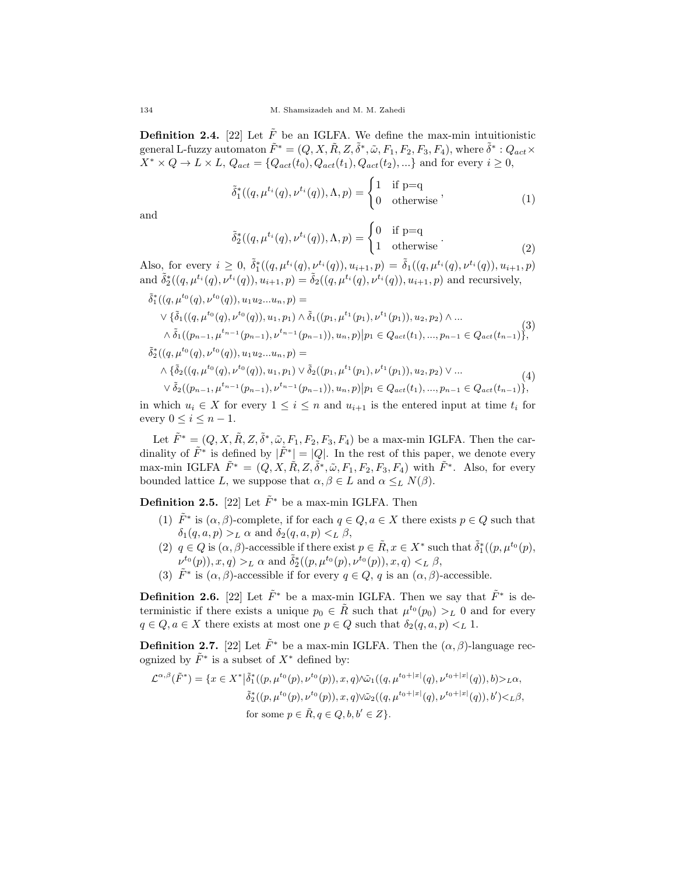**Definition 2.4.** [22] Let  $\tilde{F}$  be an IGLFA. We define the max-min intuitionistic general L-fuzzy automaton  $\tilde{F}^* = (Q, X, \tilde{R}, Z, \tilde{\delta}^*, \tilde{\omega}, F_1, F_2, F_3, F_4)$ , where  $\tilde{\delta}^* : Q_{act} \times$  $X^* \times Q \to L \times L$ ,  $Q_{act} = \{Q_{act}(t_0), Q_{act}(t_1), Q_{act}(t_2), \ldots\}$  and for every  $i \geq 0$ ,

$$
\tilde{\delta}_1^*((q,\mu^{t_i}(q),\nu^{t_i}(q)),\Lambda,p) = \begin{cases} 1 & \text{if } p=q\\ 0 & \text{otherwise} \end{cases},\tag{1}
$$

and

$$
\tilde{\delta}_2^*((q,\mu^{t_i}(q),\nu^{t_i}(q)),\Lambda,p) = \begin{cases} 0 & \text{if } p=q\\ 1 & \text{otherwise} \end{cases}.
$$
 (2)

Also, for every  $i \geq 0$ ,  $\tilde{\delta}_1^*((q, \mu^{t_i}(q), \nu^{t_i}(q)), u_{i+1}, p) = \tilde{\delta}_1((q, \mu^{t_i}(q), \nu^{t_i}(q)), u_{i+1}, p)$ and  $\tilde{\delta}_2^*((q,\mu^{t_i}(q),\nu^{t_i}(q)), u_{i+1}, p) = \tilde{\delta}_2((q,\mu^{t_i}(q),\nu^{t_i}(q)), u_{i+1}, p)$  and recursively,

$$
\tilde{\delta}_{1}^{*}((q, \mu^{t_{0}}(q), \nu^{t_{0}}(q)), u_{1}u_{2}...u_{n}, p) =
$$
\n
$$
\vee \{\tilde{\delta}_{1}((q, \mu^{t_{0}}(q), \nu^{t_{0}}(q)), u_{1}, p_{1}) \wedge \tilde{\delta}_{1}((p_{1}, \mu^{t_{1}}(p_{1}), \nu^{t_{1}}(p_{1})), u_{2}, p_{2}) \wedge ...
$$
\n
$$
\wedge \tilde{\delta}_{1}((p_{n-1}, \mu^{t_{n-1}}(p_{n-1}), \nu^{t_{n-1}}(p_{n-1})), u_{n}, p) | p_{1} \in Q_{act}(t_{1}), ..., p_{n-1} \in Q_{act}(t_{n-1}) \},
$$
\n
$$
\tilde{\delta}_{2}^{*}((q, \mu^{t_{0}}(q), \nu^{t_{0}}(q)), u_{1}u_{2}...u_{n}, p) =
$$
\n
$$
\wedge \{\tilde{\delta}_{2}((q, \mu^{t_{0}}(q), \nu^{t_{0}}(q)), u_{1}, p_{1}) \vee \tilde{\delta}_{2}((p_{1}, \mu^{t_{1}}(p_{1}), \nu^{t_{1}}(p_{1})), u_{2}, p_{2}) \vee ... \wedge \tilde{\delta}_{2}((p_{n-1}, \mu^{t_{n-1}}(p_{n-1}), \nu^{t_{n-1}}(p_{n-1})), u_{n}, p) | p_{1} \in Q_{act}(t_{1}), ..., p_{n-1} \in Q_{act}(t_{n-1}) \},
$$
\n(4)

in which  $u_i \in X$  for every  $1 \leq i \leq n$  and  $u_{i+1}$  is the entered input at time  $t_i$  for every  $0 \leq i \leq n-1$ .

Let  $\tilde{F}^* = (Q, X, \tilde{R}, Z, \tilde{\delta}^*, \tilde{\omega}, F_1, F_2, F_3, F_4)$  be a max-min IGLFA. Then the cardinality of  $\tilde{F}^*$  is defined by  $|\tilde{F}^*| = |Q|$ . In the rest of this paper, we denote every max-min IGLFA  $\tilde{F}^* = (Q, X, \tilde{R}, Z, \tilde{\delta}^*, \tilde{\omega}, F_1, F_2, F_3, F_4)$  with  $\tilde{F}^*$ . Also, for every bounded lattice L, we suppose that  $\alpha, \beta \in L$  and  $\alpha \leq_L N(\beta)$ .

**Definition 2.5.** [22] Let  $\tilde{F}^*$  be a max-min IGLFA. Then

- (1)  $\tilde{F}^*$  is  $(\alpha, \beta)$ -complete, if for each  $q \in Q, a \in X$  there exists  $p \in Q$  such that  $\delta_1(q, a, p) >_L \alpha$  and  $\delta_2(q, a, p) <_L \beta$ ,
- (2)  $q \in Q$  is  $(\alpha, \beta)$ -accessible if there exist  $p \in \tilde{R}$ ,  $x \in X^*$  such that  $\tilde{\delta}_1^*((p, \mu^{t_0}(p),$  $\nu^{t_0}(p), x, q) >_L \alpha$  and  $\tilde{\delta}_2^*((p, \mu^{t_0}(p), \nu^{t_0}(p)), x, q) <_L \beta$ ,
- (3)  $\tilde{F}^*$  is  $(\alpha, \beta)$ -accessible if for every  $q \in Q$ , q is an  $(\alpha, \beta)$ -accessible.

**Definition 2.6.** [22] Let  $\tilde{F}^*$  be a max-min IGLFA. Then we say that  $\tilde{F}^*$  is deterministic if there exists a unique  $p_0 \in \tilde{R}$  such that  $\mu^{t_0}(p_0) >_L 0$  and for every  $q \in Q, a \in X$  there exists at most one  $p \in Q$  such that  $\delta_2(q, a, p) <_L 1$ .

**Definition 2.7.** [22] Let  $\tilde{F}^*$  be a max-min IGLFA. Then the  $(\alpha, \beta)$ -language recognized by  $\tilde{F}^*$  is a subset of  $X^*$  defined by:

$$
\mathcal{L}^{\alpha,\beta}(\tilde{F}^*) = \{x \in X^* \big| \tilde{\delta}_1^*( (p,\mu^{t_0}(p),\nu^{t_0}(p)), x, q) \wedge \tilde{\omega}_1((q,\mu^{t_0+|x|}(q),\nu^{t_0+|x|}(q)), b) >_{L}\alpha, \tilde{\delta}_2^*(p,\mu^{t_0}(p),\nu^{t_0}(p)), x, q) \vee \tilde{\omega}_2((q,\mu^{t_0+|x|}(q),\nu^{t_0+|x|}(q)), b') <_{L}\beta, \text{for some } p \in \tilde{R}, q \in Q, b, b' \in Z\}.
$$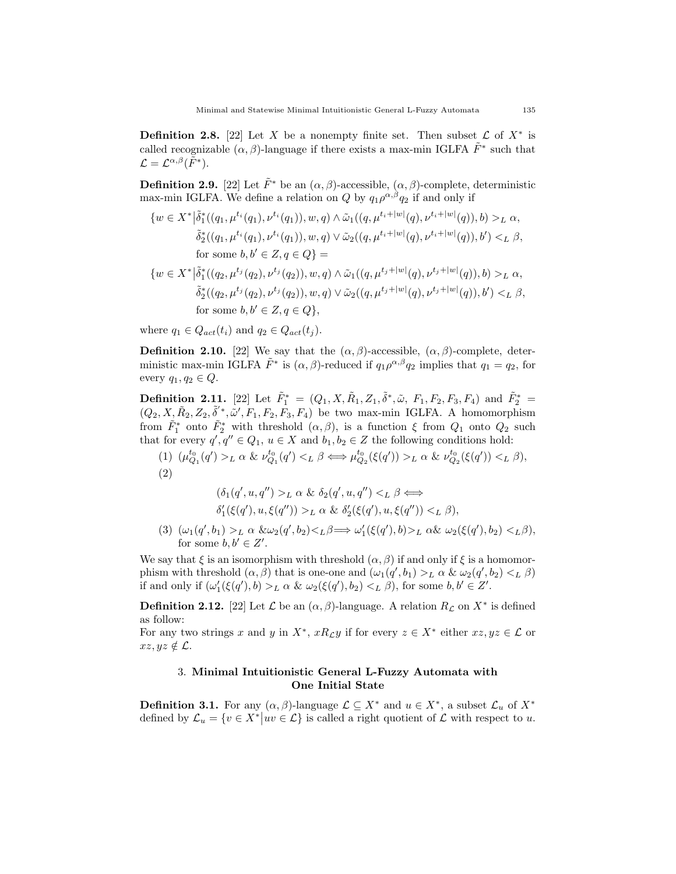**Definition 2.8.** [22] Let X be a nonempty finite set. Then subset  $\mathcal{L}$  of  $X^*$  is called recognizable  $(\alpha, \beta)$ -language if there exists a max-min IGLFA  $\tilde{F}^*$  such that  $\mathcal{L}=\mathcal{L}^{\alpha,\beta}(\tilde{F}^*).$ 

**Definition 2.9.** [22] Let  $\tilde{F}^*$  be an  $(\alpha, \beta)$ -accessible,  $(\alpha, \beta)$ -complete, deterministic max-min IGLFA. We define a relation on Q by  $q_1 \rho^{\alpha,\beta} q_2$  if and only if

$$
\{w \in X^* | \tilde{\delta}_1^*((q_1, \mu^{t_i}(q_1), \nu^{t_i}(q_1)), w, q) \wedge \tilde{\omega}_1((q, \mu^{t_i+|w|}(q), \nu^{t_i+|w|}(q)), b) >_L \alpha, \tilde{\delta}_2^*((q_1, \mu^{t_i}(q_1), \nu^{t_i}(q_1)), w, q) \vee \tilde{\omega}_2((q, \mu^{t_i+|w|}(q), \nu^{t_i+|w|}(q)), b') <_L \beta, \text{for some } b, b' \in Z, q \in Q\} =
$$

$$
\{w \in X^* | \tilde{\delta}_1^*((q_2, \mu^{t_j}(q_2), \nu^{t_j}(q_2)), w, q) \wedge \tilde{\omega}_1((q, \mu^{t_j+|w|}(q), \nu^{t_j+|w|}(q)), b) >_L \alpha, \tilde{\delta}_2^*((q_2, \mu^{t_j}(q_2), \nu^{t_j}(q_2)), w, q) \vee \tilde{\omega}_2((q, \mu^{t_j+|w|}(q), \nu^{t_j+|w|}(q)), b') <_L \beta, \text{for some } b, b' \in Z, q \in Q\},\
$$

where  $q_1 \in Q_{act}(t_i)$  and  $q_2 \in Q_{act}(t_i)$ .

**Definition 2.10.** [22] We say that the  $(\alpha, \beta)$ -accessible,  $(\alpha, \beta)$ -complete, deterministic max-min IGLFA  $\tilde{F}^*$  is  $(\alpha, \beta)$ -reduced if  $q_1 \rho^{\alpha, \beta} q_2$  implies that  $q_1 = q_2$ , for every  $q_1, q_2 \in Q$ .

**Definition 2.11.** [22] Let  $\tilde{F}_1^* = (Q_1, X, \tilde{R}_1, Z_1, \tilde{\delta}^*, \tilde{\omega}, F_1, F_2, F_3, F_4)$  and  $\tilde{F}_2^* =$  $(Q_2, X, \tilde{R}_2, Z_2, \tilde{\delta}^*, \tilde{\omega}', F_1, F_2, F_3, F_4)$  be two max-min IGLFA. A homomorphism from  $\tilde{F}_1^*$  onto  $\tilde{F}_2^*$  with threshold  $(\alpha, \beta)$ , is a function  $\xi$  from  $Q_1$  onto  $Q_2$  such that for every  $q', q'' \in Q_1, u \in X$  and  $b_1, b_2 \in Z$  the following conditions hold:

(1)  $(\mu_{Q_1}^{t_0}(q') >_L \alpha \& \nu_{Q_1}^{t_0}(q') <_L \beta \Longleftrightarrow \mu_{Q_2}^{t_0}(\xi(q')) >_L \alpha \& \nu_{Q_2}^{t_0}(\xi(q')) <_L \beta$ , (2)

$$
(\delta_1(q', u, q'') >_L \alpha \& \delta_2(q', u, q'') <_L \beta \Leftrightarrow
$$
  

$$
\delta'_1(\xi(q'), u, \xi(q'')) >_L \alpha \& \delta'_2(\xi(q'), u, \xi(q'')) <_L \beta),
$$

(3)  $(\omega_1(q', b_1) >_L \alpha \& \omega_2(q', b_2) <_L \beta \Longrightarrow \omega'_1(\xi(q'), b) >_L \alpha \& \omega_2(\xi(q'), b_2) <_L \beta),$ for some  $b, b' \in Z'$ .

We say that  $\xi$  is an isomorphism with threshold  $(\alpha, \beta)$  if and only if  $\xi$  is a homomorphism with threshold  $(\alpha, \beta)$  that is one-one and  $(\omega_1(q', b_1) >_L \alpha \& \omega_2(q', b_2) <_L \beta)$ if and only if  $(\omega'_1(\xi(q'),b) >_L \alpha \& \omega_2(\xi(q'),b_2) <_L \beta)$ , for some  $b, b' \in Z'$ .

**Definition 2.12.** [22] Let  $\mathcal{L}$  be an  $(\alpha, \beta)$ -language. A relation  $R_{\mathcal{L}}$  on  $X^*$  is defined as follow:

For any two strings x and y in  $X^*$ ,  $xR_{\mathcal{L}}y$  if for every  $z \in X^*$  either  $xz, yz \in \mathcal{L}$  or  $xz, yz \notin \mathcal{L}$ .

## 3. Minimal Intuitionistic General L-Fuzzy Automata with One Initial State

**Definition 3.1.** For any  $(\alpha, \beta)$ -language  $\mathcal{L} \subseteq X^*$  and  $u \in X^*$ , a subset  $\mathcal{L}_u$  of  $X^*$ defined by  $\mathcal{L}_u = \{v \in X^* | uv \in \mathcal{L}\}$  is called a right quotient of  $\mathcal L$  with respect to u.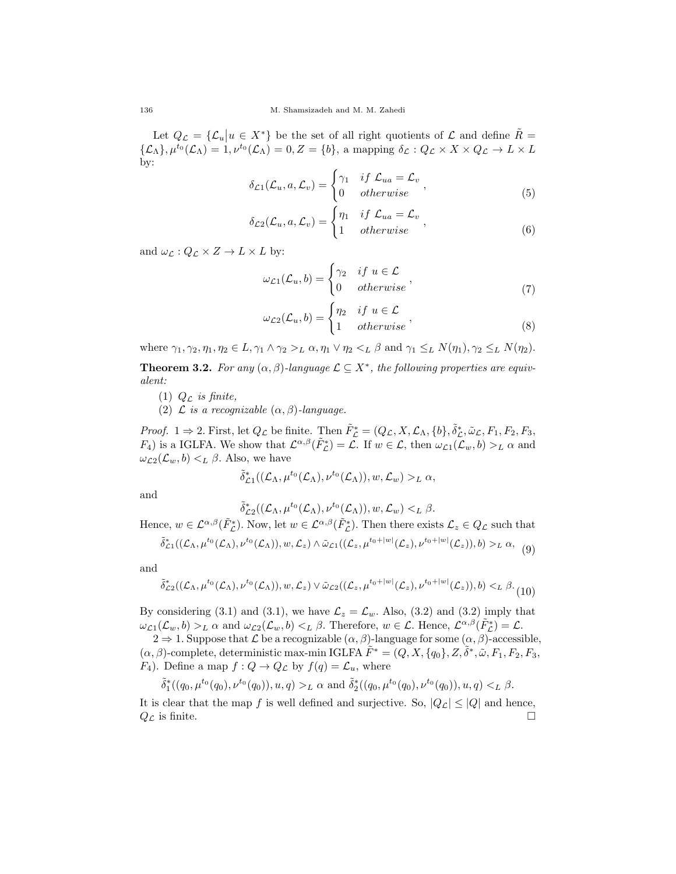Let  $Q_{\mathcal{L}} = {\{\mathcal{L}_u | u \in X^*\}}$  be the set of all right quotients of  $\mathcal{L}$  and define  $\tilde{R} =$  $\{\mathcal{L}_{\Lambda}\}, \mu^{t_0}(\mathcal{L}_{\Lambda}) = 1, \nu^{t_0}(\mathcal{L}_{\Lambda}) = 0, Z = \{b\}, \text{ a mapping } \delta_{\mathcal{L}} : Q_{\mathcal{L}} \times X \times Q_{\mathcal{L}} \to L \times L$ by:

$$
\delta_{\mathcal{L}1}(\mathcal{L}_u, a, \mathcal{L}_v) = \begin{cases} \gamma_1 & \text{if } \mathcal{L}_{ua} = \mathcal{L}_v \\ 0 & \text{otherwise} \end{cases}, \tag{5}
$$

$$
\delta_{\mathcal{L}2}(\mathcal{L}_u, a, \mathcal{L}_v) = \begin{cases} \eta_1 & \text{if } \mathcal{L}_{ua} = \mathcal{L}_v \\ 1 & \text{otherwise} \end{cases}, \tag{6}
$$

and  $\omega_{\mathcal{L}} : Q_{\mathcal{L}} \times Z \to L \times L$  by:

$$
\omega_{\mathcal{L}1}(\mathcal{L}_u, b) = \begin{cases} \gamma_2 & \text{if } u \in \mathcal{L} \\ 0 & \text{otherwise} \end{cases}, \tag{7}
$$

$$
\omega_{\mathcal{L}2}(\mathcal{L}_u, b) = \begin{cases} \eta_2 & \text{if } u \in \mathcal{L} \\ 1 & otherwise \end{cases}, \tag{8}
$$

where  $\gamma_1, \gamma_2, \eta_1, \eta_2 \in L$ ,  $\gamma_1 \wedge \gamma_2 >_L \alpha$ ,  $\eta_1 \vee \eta_2 <_L \beta$  and  $\gamma_1 \leq_L N(\eta_1), \gamma_2 \leq_L N(\eta_2)$ .

**Theorem 3.2.** For any  $(\alpha, \beta)$ -language  $\mathcal{L} \subseteq X^*$ , the following properties are equivalent:

(1)  $Q_{\mathcal{L}}$  is finite,

(2)  $\mathcal L$  is a recognizable  $(\alpha, \beta)$ -language.

*Proof.*  $1 \Rightarrow 2$ . First, let  $Q_{\mathcal{L}}$  be finite. Then  $\tilde{F}_{\mathcal{L}}^* = (Q_{\mathcal{L}}, X, \mathcal{L}_{\Lambda}, \{b\}, \tilde{\delta}_{\mathcal{L}}^*, \tilde{\omega}_{\mathcal{L}}, F_1, F_2, F_3,$  $F_4$ ) is a IGLFA. We show that  $\mathcal{L}^{\alpha,\beta}(\tilde{F}_{\mathcal{L}}^*) = \mathcal{L}$ . If  $w \in \mathcal{L}$ , then  $\omega_{\mathcal{L}1}(\mathcal{L}_w, b) >_L \alpha$  and  $\omega_{\mathcal{L}2}(\mathcal{L}_w, b) <_L \beta$ . Also, we have

$$
\tilde{\delta}^*_{\mathcal{L}1}((\mathcal{L}_\Lambda, \mu^{t_0}(\mathcal{L}_\Lambda), \nu^{t_0}(\mathcal{L}_\Lambda)), w, \mathcal{L}_w) >_L \alpha,
$$

and

 $\tilde{\delta}^*_{\mathcal{L}2}((\mathcal{L}_\Lambda,\mu^{t_0}(\mathcal{L}_\Lambda),\nu^{t_0}(\mathcal{L}_\Lambda)), w, \mathcal{L}_w) <_L \beta.$ 

Hence,  $w \in \mathcal{L}^{\alpha,\beta}(\tilde{F}_{\mathcal{L}}^*)$ . Now, let  $w \in \mathcal{L}^{\alpha,\beta}(\tilde{F}_{\mathcal{L}}^*)$ . Then there exists  $\mathcal{L}_z \in Q_{\mathcal{L}}$  such that  $\tilde{\delta}^*_{\mathcal{L}1}((\mathcal{L}_\Lambda,\mu^{t_0}(\mathcal{L}_\Lambda),\nu^{t_0}(\mathcal{L}_\Lambda)),w,\mathcal{L}_z)\wedge\tilde{\omega}_{\mathcal{L}1}((\mathcal{L}_z,\mu^{t_0+|w|}(\mathcal{L}_z),\nu^{t_0+|w|}(\mathcal{L}_z)),b)>_L\alpha, \tag{9}$ 

and

$$
\tilde{\delta}^*_{\mathcal{L}2}((\mathcal{L}_\Lambda,\mu^{t_0}(\mathcal{L}_\Lambda),\nu^{t_0}(\mathcal{L}_\Lambda)),w,\mathcal{L}_z)\vee\tilde{\omega}_{\mathcal{L}2}((\mathcal{L}_z,\mu^{t_0+|w|}(\mathcal{L}_z),\nu^{t_0+|w|}(\mathcal{L}_z)),b)<_L\beta.
$$
 (10)

By considering (3.1) and (3.1), we have  $\mathcal{L}_z = \mathcal{L}_w$ . Also, (3.2) and (3.2) imply that  $\omega_{\mathcal{L}1}(\mathcal{L}_w, b) >_L \alpha$  and  $\omega_{\mathcal{L}2}(\mathcal{L}_w, b) <_L \beta$ . Therefore,  $w \in \mathcal{L}$ . Hence,  $\mathcal{L}^{\alpha,\beta}(\tilde{F}_{\mathcal{L}}^*) = \mathcal{L}$ .

 $2 \Rightarrow 1$ . Suppose that  $\mathcal L$  be a recognizable  $(\alpha, \beta)$ -language for some  $(\alpha, \beta)$ -accessible,  $(\alpha, \beta)$ -complete, deterministic max-min IGLFA  $\tilde{F}^* = (Q, X, \{q_0\}, Z, \tilde{\delta}^*, \tilde{\omega}, F_1, F_2, F_3,$  $F_4$ ). Define a map  $f: Q \to Q_{\mathcal{L}}$  by  $f(q) = \mathcal{L}_u$ , where

$$
\tilde{\delta}^*_1((q_0,\mu^{t_0}(q_0),\nu^{t_0}(q_0)),u,q) >_L \alpha \text{ and } \tilde{\delta}^*_2((q_0,\mu^{t_0}(q_0),\nu^{t_0}(q_0)),u,q) <_L \beta.
$$

It is clear that the map f is well defined and surjective. So,  $|Q_{\mathcal{L}}| \leq |Q|$  and hence,  $Q_{\mathcal{L}}$  is finite.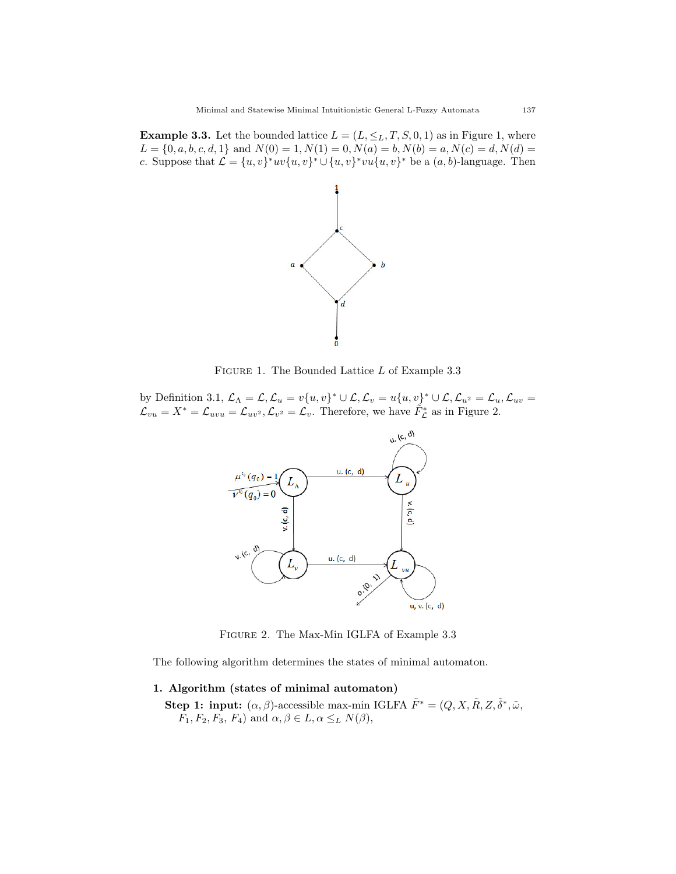**Example 3.3.** Let the bounded lattice  $L = (L, \leq_L, T, S, 0, 1)$  as in Figure 1, where  $L = \{0, a, b, c, d, 1\}$  and  $N(0) = 1, N(1) = 0, N(a) = b, N(b) = a, N(c) = d, N(d) = b$ c. Suppose that  $\mathcal{L} = \{u, v\}^* uv \{u, v\}^* \cup \{u, v\}^* vu \{u, v\}^*$  be a  $(a, b)$ -language. Then



FIGURE 1. The Bounded Lattice L of Example 3.3

by Definition 3.1,  $\mathcal{L}_{\Lambda} = \mathcal{L}, \mathcal{L}_{u} = v\{u, v\}^* \cup \mathcal{L}, \mathcal{L}_{v} = u\{u, v\}^* \cup \mathcal{L}, \mathcal{L}_{u^2} = \mathcal{L}_{u}, \mathcal{L}_{uv} = v\{u, v\}^*$  $\mathcal{L}_{vu} = X^* = \mathcal{L}_{uvu} = \mathcal{L}_{uv^2}, \mathcal{L}_{v^2} = \mathcal{L}_v$ . Therefore, we have  $\tilde{F}_{\mathcal{L}}^*$  as in Figure 2.



Figure 2. The Max-Min IGLFA of Example 3.3

The following algorithm determines the states of minimal automaton.

### 1. Algorithm (states of minimal automaton)

**Step 1: input:**  $(\alpha, \beta)$ -accessible max-min IGLFA  $\tilde{F}^* = (Q, X, \tilde{R}, Z, \tilde{\delta}^*, \tilde{\omega}, \tilde{\delta}^*, \tilde{\omega})$  $F_1, F_2, F_3, F_4$  and  $\alpha, \beta \in L, \alpha \leq_L N(\beta)$ ,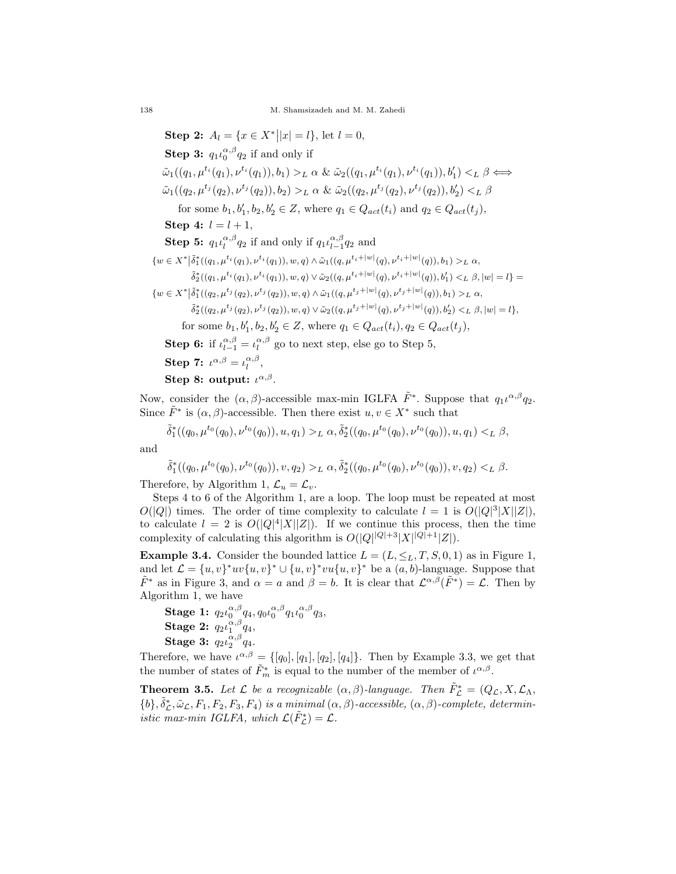**Step 2:**  $A_l = \{x \in X^* | |x| = l\}$ , let  $l = 0$ , **Step 3:**  $q_1 \iota_0^{\alpha,\beta} q_2$  if and only if  $\tilde{\omega}_1((q_1,\mu^{t_i}(q_1),\nu^{t_i}(q_1)),b_1) >_L \alpha \& \tilde{\omega}_2((q_1,\mu^{t_i}(q_1),\nu^{t_i}(q_1)),b'_1) <_L \beta \Longleftrightarrow$  $\tilde{\omega}_1((q_2, \mu^{t_j}(q_2), \nu^{t_j}(q_2)), b_2) >_L \alpha \& \tilde{\omega}_2((q_2, \mu^{t_j}(q_2), \nu^{t_j}(q_2)), b'_2) <_L \beta$ for some  $b_1, b'_1, b_2, b'_2 \in Z$ , where  $q_1 \in Q_{act}(t_i)$  and  $q_2 \in Q_{act}(t_j)$ , Step 4:  $l = l + 1$ , **Step 5:**  $q_1 \iota_l^{\alpha,\beta} q_2$  if and only if  $q_1 \iota_{l-1}^{\alpha,\beta} q_2$  and  $\{w \in X^* \big| \tilde{\delta}^*_1((q_1, \mu^{t_i}(q_1), \nu^{t_i}(q_1)), w, q) \wedge \tilde{\omega}_1((q, \mu^{t_i+|w|}(q), \nu^{t_i+|w|}(q)), b_1) >_L \alpha,$  $\tilde{\delta}_2^*((q_1, \mu^{t_i}(q_1), \nu^{t_i}(q_1)), w, q) \vee \tilde{\omega}_2((q, \mu^{t_i+|w|}(q), \nu^{t_i+|w|}(q)), b_1') <_L \beta, |w| = l \} =$  $\{w \in X^* \big| \tilde{\delta}_1^*((q_2, \mu^{t_j}(q_2), \nu^{t_j}(q_2)), w, q) \wedge \tilde{\omega}_1((q, \mu^{t_j+|w|}(q), \nu^{t_j+|w|}(q)), b_1) >_L \alpha,$  $\tilde{\delta}^*_2((q_2, \mu^{t_j}(q_2), \nu^{t_j}(q_2)), w, q) \vee \tilde{\omega}_2((q, \mu^{t_j+|w|}(q), \nu^{t_j+|w|}(q)), b'_2) <_L \beta, |w| = l \},$ for some  $b_1, b'_1, b_2, b'_2 \in Z$ , where  $q_1 \in Q_{act}(t_i), q_2 \in Q_{act}(t_j)$ , **Step 6:** if  $\iota_{l-1}^{\alpha,\beta} = \iota_l^{\alpha,\beta}$  go to next step, else go to Step 5, Step 7:  $\iota^{\alpha,\beta} = \iota^{\alpha,\beta}_l$ , Step 8: output:  $\iota^{\alpha,\beta}$ .

Now, consider the  $(\alpha, \beta)$ -accessible max-min IGLFA  $\tilde{F}^*$ . Suppose that  $q_1 \iota^{\alpha, \beta} q_2$ . Since  $\tilde{F}^*$  is  $(\alpha, \beta)$ -accessible. Then there exist  $u, v \in X^*$  such that

$$
\tilde{\delta}^*_1((q_0,\mu^{t_0}(q_0),\nu^{t_0}(q_0)),u,q_1) >_L \alpha, \tilde{\delta}^*_2((q_0,\mu^{t_0}(q_0),\nu^{t_0}(q_0)),u,q_1) <_L \beta,
$$

and

$$
\tilde{\delta}^*_1((q_0,\mu^{t_0}(q_0),\nu^{t_0}(q_0)),v,q_2) >_L \alpha, \tilde{\delta}^*_2((q_0,\mu^{t_0}(q_0),\nu^{t_0}(q_0)),v,q_2) <_L \beta.
$$

Therefore, by Algorithm 1,  $\mathcal{L}_u = \mathcal{L}_v$ .

Steps 4 to 6 of the Algorithm 1, are a loop. The loop must be repeated at most  $O(|Q|)$  times. The order of time complexity to calculate  $l = 1$  is  $O(|Q|^3|X||Z|)$ , to calculate  $l = 2$  is  $O(|Q|^4|X||Z|)$ . If we continue this process, then the time complexity of calculating this algorithm is  $O(|Q|^{|Q|+3} |X|^{|Q|+1} |Z|)$ .

**Example 3.4.** Consider the bounded lattice  $L = (L, \leq_L, T, S, 0, 1)$  as in Figure 1, and let  $\mathcal{L} = \{u, v\}^* uv \{u, v\}^* \cup \{u, v\}^* vu \{u, v\}^*$  be a  $(a, b)$ -language. Suppose that  $\tilde{F}^*$  as in Figure 3, and  $\alpha = a$  and  $\beta = b$ . It is clear that  $\mathcal{L}^{\alpha,\beta}(\tilde{F}^*) = \mathcal{L}$ . Then by Algorithm 1, we have

 $\bf{Stage\ 1:}\ \mathit{q}_2\iota_0^{\alpha,\beta}\mathit{q}_4,\mathit{q}_0\iota_0^{\alpha,\beta}\mathit{q}_1\iota_0^{\alpha,\beta}\mathit{q}_3,$ Stage 2:  $q_2\iota_1^{\alpha,\beta}q_4$ , Stage 3:  $q_2 \iota_2^{\alpha,\beta} q_4$ .

Therefore, we have  $\iota^{\alpha,\beta} = \{[q_0], [q_1], [q_2], [q_4]\}.$  Then by Example 3.3, we get that the number of states of  $\tilde{F}_m^*$  is equal to the number of the member of  $\iota^{\alpha,\beta}$ .

**Theorem 3.5.** Let  $\mathcal{L}$  be a recognizable  $(\alpha, \beta)$ -language. Then  $\tilde{F}_{\mathcal{L}}^* = (Q_{\mathcal{L}}, X, \mathcal{L}_{\Lambda}, \mathcal{L}_{\Lambda})$  $\{b\}, \tilde{\delta}_{\mathcal{L}}^*, \tilde{\omega}_{\mathcal{L}}, F_1, F_2, F_3, F_4)$  is a minimal  $(\alpha, \beta)$ -accessible,  $(\alpha, \beta)$ -complete, deterministic max-min IGLFA, which  $\mathcal{L}(\tilde{F}_{\mathcal{L}}^*) = \mathcal{L}$ .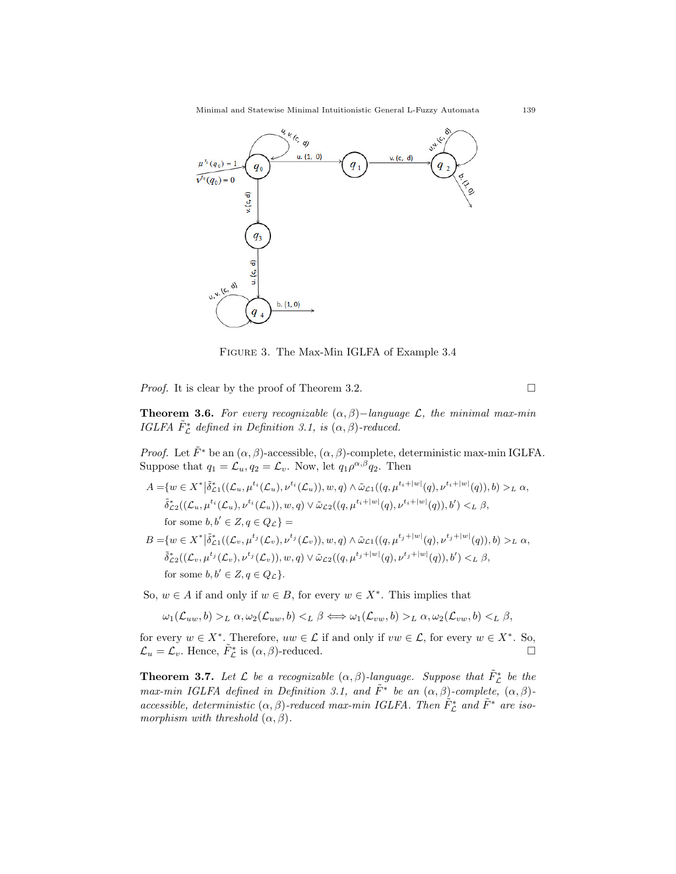

Figure 3. The Max-Min IGLFA of Example 3.4

*Proof.* It is clear by the proof of Theorem 3.2.

**Theorem 3.6.** For every recognizable  $(\alpha, \beta)$ -language  $\mathcal{L}$ , the minimal max-min IGLFA  $\tilde{F}_{\mathcal{L}}^*$  defined in Definition 3.1, is  $(\alpha, \beta)$ -reduced.

*Proof.* Let  $\tilde{F}^*$  be an  $(\alpha, \beta)$ -accessible,  $(\alpha, \beta)$ -complete, deterministic max-min IGLFA. Suppose that  $q_1 = \mathcal{L}_u, q_2 = \mathcal{L}_v$ . Now, let  $q_1 \rho^{\alpha,\beta} q_2$ . Then

$$
A = \{ w \in X^* | \tilde{\delta}_{\mathcal{L}1}^*( (\mathcal{L}_u, \mu^{t_i}(\mathcal{L}_u), \nu^{t_i}(\mathcal{L}_u)), w, q) \wedge \tilde{\omega}_{\mathcal{L}1}((q, \mu^{t_i+|w|}(q), \nu^{t_i+|w|}(q)), b) >_L \alpha, \n\tilde{\delta}_{\mathcal{L}2}^*( (\mathcal{L}_u, \mu^{t_i}(\mathcal{L}_u), \nu^{t_i}(\mathcal{L}_u)), w, q) \vee \tilde{\omega}_{\mathcal{L}2}((q, \mu^{t_i+|w|}(q), \nu^{t_i+|w|}(q)), b') <_L \beta, \n\text{for some } b, b' \in Z, q \in Q_{\mathcal{L}} \} = \nB = \{ w \in X^* | \tilde{\delta}_{\mathcal{L}1}^*( (\mathcal{L}_v, \mu^{t_j}(\mathcal{L}_v), \nu^{t_j}(\mathcal{L}_v)), w, q) \wedge \tilde{\omega}_{\mathcal{L}1}((q, \mu^{t_j+|w|}(q), \nu^{t_j+|w|}(q)), b) >_L \alpha, \n\tilde{\delta}_{\mathcal{L}1}^*(q, \mu^{t_j}(\mathcal{L}_v), \nu^{t_j}(\mathcal{L}_v)), \lambda^{t_j}((q, \mu^{t_j+|w|}(q), \nu^{t_j+|w|}(q)), b) >_L \alpha, \n\tilde{\delta}_{\mathcal{L}2}^*(q, \mu^{t_j}(\mathcal{L}_v), \nu^{t_j}(\mathcal{L}_v)), \lambda^{t_j}((q, \mu^{t_j+|w|}(q), \nu^{t_j+|w|}(q)), b) >_L \alpha, \n\tilde{\delta}_{\mathcal{L}2}^*(q, \mu^{t_j}(\mathcal{L}_v), \nu^{t_j}(\mathcal{L}_v)), \lambda^{t_j}((q, \mu^{t_j+|w|}(q), \nu^{t_j+|w|}(q)), b) >_L \alpha, \n\tilde{\delta}_{\mathcal{L}2}^*(q, \mu^{t_j}(\mathcal{L}_v), \nu^{t_j}(\mathcal{L}_v)), \lambda^{t_j}((q, \mu^{t_j+|w|}(q), \nu^{t_j+|w|}(q)), b) >_L \alpha, \n\tilde{\delta
$$

$$
\tilde{\delta}_{\mathcal{L}2}^*((\mathcal{L}_v, \mu^{t_j}(\mathcal{L}_v), \nu^{t_j}(\mathcal{L}_v)), w, q) \vee \tilde{\omega}_{\mathcal{L}2}((q, \mu^{t_j+|w|}(q), \nu^{t_j+|w|}(q)), b') <_L \beta,
$$
  
for some  $b, b' \in Z, q \in Q_{\mathcal{L}}\}.$ 

So,  $w \in A$  if and only if  $w \in B$ , for every  $w \in X^*$ . This implies that

$$
\omega_1(\mathcal{L}_{uw},b) >_L \alpha, \omega_2(\mathcal{L}_{uw},b) <_L \beta \Longleftrightarrow \omega_1(\mathcal{L}_{vw},b) >_L \alpha, \omega_2(\mathcal{L}_{vw},b) <_L \beta,
$$

for every  $w \in X^*$ . Therefore,  $uw \in \mathcal{L}$  if and only if  $vw \in \mathcal{L}$ , for every  $w \in X^*$ . So,  $\mathcal{L}_u = \mathcal{L}_v$ . Hence,  $\tilde{F}_{\mathcal{L}}^*$  is  $(\alpha, \beta)$ -reduced.

**Theorem 3.7.** Let  $\mathcal{L}$  be a recognizable  $(\alpha, \beta)$ -language. Suppose that  $\tilde{F}_{\mathcal{L}}^*$  be the max-min IGLFA defined in Definition 3.1, and  $\tilde{F}^*$  be an  $(\alpha, \beta)$ -complete,  $(\alpha, \beta)$ accessible, deterministic  $(\alpha, \beta)$ -reduced max-min IGLFA. Then  $\tilde{F}_{\mathcal{L}}^*$  and  $\tilde{F}^*$  are isomorphism with threshold  $(\alpha, \beta)$ .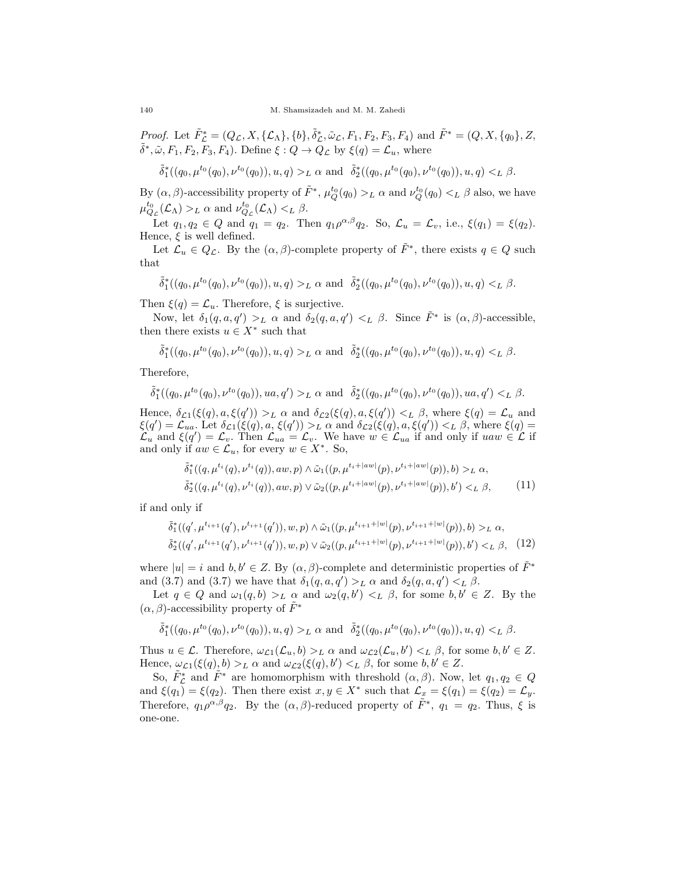*Proof.* Let  $\tilde{F}_{\mathcal{L}}^* = (Q_{\mathcal{L}}, X, {\{\mathcal{L}_{\Lambda}\}, \{b\}, \tilde{\delta}_{\mathcal{L}}^*, \tilde{\omega}_{\mathcal{L}}, F_1, F_2, F_3, F_4})$  and  $\tilde{F}^* = (Q, X, {\{q_0\}, \mathcal{Z}, \mathcal{L}_{\Lambda}\})$  $\tilde{\delta}^*, \tilde{\omega}, F_1, F_2, F_3, F_4$ ). Define  $\xi : Q \to \tilde{Q}_\mathcal{L}$  by  $\xi(q) = \mathcal{L}_u$ , where

$$
\tilde{\delta}^*_1((q_0,\mu^{t_0}(q_0),\nu^{t_0}(q_0)),u,q)>_L\alpha\text{ and }\tilde{\delta}^*_2((q_0,\mu^{t_0}(q_0),\nu^{t_0}(q_0)),u,q)<_L\beta.
$$

By  $(\alpha, \beta)$ -accessibility property of  $\tilde{F}^*, \mu_Q^{t_0}(q_0) >_L \alpha$  and  $\nu_Q^{t_0}(q_0) <_L \beta$  also, we have  $\mu_{Q_{\mathcal{L}}}^{t_0}(\mathcal{L}_{\Lambda}) >_{L} \alpha$  and  $\nu_{Q_{\mathcal{L}}}^{t_0}(\mathcal{L}_{\Lambda}) <_{L} \beta$ .

Let  $q_1, q_2 \in Q$  and  $q_1 = q_2$ . Then  $q_1 \rho^{\alpha,\beta} q_2$ . So,  $\mathcal{L}_u = \mathcal{L}_v$ , i.e.,  $\xi(q_1) = \xi(q_2)$ . Hence,  $\xi$  is well defined.

Let  $\mathcal{L}_u \in Q_{\mathcal{L}}$ . By the  $(\alpha, \beta)$ -complete property of  $\tilde{F}^*$ , there exists  $q \in Q$  such that

$$
\tilde{\delta}^*_1((q_0,\mu^{t_0}(q_0),\nu^{t_0}(q_0)),u,q) >_L \alpha \text{ and } \tilde{\delta}^*_2((q_0,\mu^{t_0}(q_0),\nu^{t_0}(q_0)),u,q) <_L \beta.
$$

Then  $\xi(q) = \mathcal{L}_u$ . Therefore,  $\xi$  is surjective.

Now, let  $\delta_1(q, a, q') >_L \alpha$  and  $\delta_2(q, a, q') <_L \beta$ . Since  $\tilde{F}^*$  is  $(\alpha, \beta)$ -accessible, then there exists  $u \in X^*$  such that

$$
\tilde{\delta}^*_1((q_0,\mu^{t_0}(q_0),\nu^{t_0}(q_0)),u,q) >_L \alpha \text{ and } \tilde{\delta}^*_2((q_0,\mu^{t_0}(q_0),\nu^{t_0}(q_0)),u,q) <_L \beta.
$$

Therefore,

$$
\tilde{\delta}^*_1((q_0,\mu^{t_0}(q_0),\nu^{t_0}(q_0)),ua,q') >_L \alpha \text{ and } \tilde{\delta}^*_2((q_0,\mu^{t_0}(q_0),\nu^{t_0}(q_0)),ua,q') <_L \beta.
$$

Hence,  $\delta_{\mathcal{L}1}(\xi(q), a, \xi(q')) >_L \alpha$  and  $\delta_{\mathcal{L}2}(\xi(q), a, \xi(q')) <_L \beta$ , where  $\xi(q) = \mathcal{L}_u$  and  $\xi(q') = \mathcal{L}_{ua}$ . Let  $\delta_{\mathcal{L}1}(\xi(q), a, \xi(q')) >_L \alpha$  and  $\delta_{\mathcal{L}2}(\xi(q), a, \xi(q')) <_L \beta$ , where  $\xi(q)$  $\mathcal{L}_u$  and  $\xi(q') = \mathcal{L}_v$ . Then  $\mathcal{L}_{ua} = \mathcal{L}_v$ . We have  $w \in \mathcal{L}_{ua}$  if and only if  $uaw \in \mathcal{L}$  if and only if  $aw \in \mathcal{L}_u$ , for every  $w \in X^*$ . So,

$$
\tilde{\delta}_1^*((q, \mu^{t_i}(q), \nu^{t_i}(q)), aw, p) \wedge \tilde{\omega}_1((p, \mu^{t_i+|aw|}(p), \nu^{t_i+|aw|}(p)), b) >_L \alpha,
$$
  

$$
\tilde{\delta}_2^*((q, \mu^{t_i}(q), \nu^{t_i}(q)), aw, p) \vee \tilde{\omega}_2((p, \mu^{t_i+|aw|}(p), \nu^{t_i+|aw|}(p)), b') <_L \beta,
$$
 (11)

if and only if

$$
\tilde{\delta}_1^*((q', \mu^{t_{i+1}}(q'), \nu^{t_{i+1}}(q')), w, p) \wedge \tilde{\omega}_1((p, \mu^{t_{i+1}+|w|}(p), \nu^{t_{i+1}+|w|}(p)), b) >_L \alpha,
$$
  

$$
\tilde{\delta}_2^*((q', \mu^{t_{i+1}}(q'), \nu^{t_{i+1}}(q')), w, p) \vee \tilde{\omega}_2((p, \mu^{t_{i+1}+|w|}(p), \nu^{t_{i+1}+|w|}(p)), b') <_L \beta, \quad (12)
$$

where  $|u| = i$  and  $b, b' \in Z$ . By  $(\alpha, \beta)$ -complete and deterministic properties of  $\tilde{F}^*$ and (3.7) and (3.7) we have that  $\delta_1(q, a, q') >_L \alpha$  and  $\delta_2(q, a, q') <_L \beta$ .

Let  $q \in Q$  and  $\omega_1(q, b) >_L \alpha$  and  $\omega_2(q, b') <_L \beta$ , for some  $b, b' \in Z$ . By the  $(\alpha, \beta)$ -accessibility property of  $\tilde{F}^*$ 

$$
\tilde{\delta}^*_1((q_0,\mu^{t_0}(q_0),\nu^{t_0}(q_0)),u,q)>_L\alpha\text{ and }\tilde{\delta}^*_2((q_0,\mu^{t_0}(q_0),\nu^{t_0}(q_0)),u,q)<_L\beta.
$$

Thus  $u \in \mathcal{L}$ . Therefore,  $\omega_{\mathcal{L}1}(\mathcal{L}_u, b) >_L \alpha$  and  $\omega_{\mathcal{L}2}(\mathcal{L}_u, b') <_L \beta$ , for some  $b, b' \in Z$ . Hence,  $\omega_{\mathcal{L}1}(\xi(q), b) >_L \alpha$  and  $\omega_{\mathcal{L}2}(\xi(q), b') <_L \beta$ , for some  $b, b' \in Z$ .

So,  $\tilde{F}_{\mathcal{L}}^*$  and  $\tilde{F}^*$  are homomorphism with threshold  $(\alpha, \beta)$ . Now, let  $q_1, q_2 \in Q$ and  $\xi(q_1) = \xi(q_2)$ . Then there exist  $x, y \in X^*$  such that  $\mathcal{L}_x = \xi(q_1) = \xi(q_2) = \mathcal{L}_y$ . Therefore,  $q_1 \rho^{\alpha,\beta} q_2$ . By the  $(\alpha,\beta)$ -reduced property of  $\tilde{F}^*$ ,  $q_1 = q_2$ . Thus,  $\xi$  is one-one.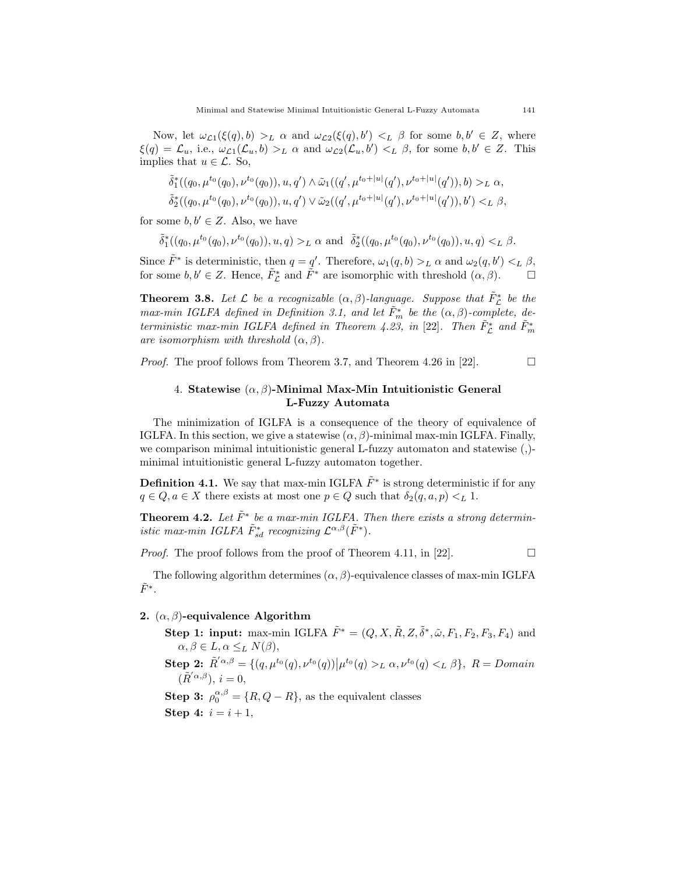Now, let  $\omega_{\mathcal{L}1}(\xi(q),b) >_L \alpha$  and  $\omega_{\mathcal{L}2}(\xi(q),b') <_L \beta$  for some  $b,b' \in \mathbb{Z}$ , where  $\xi(q) = \mathcal{L}_u$ , i.e.,  $\omega_{\mathcal{L}1}(\mathcal{L}_u, b) >_L \alpha$  and  $\omega_{\mathcal{L}2}(\mathcal{L}_u, b') <_L \beta$ , for some  $b, b' \in Z$ . This implies that  $u \in \mathcal{L}$ . So,

$$
\tilde{\delta}^*_1((q_0,\mu^{t_0}(q_0),\nu^{t_0}(q_0)),u,q') \wedge \tilde{\omega}_1((q',\mu^{t_0+|u|}(q'),\nu^{t_0+|u|}(q')),b) >_L \alpha,
$$
  

$$
\tilde{\delta}^*_2((q_0,\mu^{t_0}(q_0),\nu^{t_0}(q_0)),u,q') \vee \tilde{\omega}_2((q',\mu^{t_0+|u|}(q'),\nu^{t_0+|u|}(q')),b') <_L \beta,
$$

for some  $b, b' \in Z$ . Also, we have

$$
\tilde{\delta}^*_1((q_0,\mu^{t_0}(q_0),\nu^{t_0}(q_0)),u,q)>_L\alpha\text{ and }\ \tilde{\delta}^*_2((q_0,\mu^{t_0}(q_0),\nu^{t_0}(q_0)),u,q)<_L\beta.
$$

Since  $\tilde{F}^*$  is deterministic, then  $q = q'$ . Therefore,  $\omega_1(q, b) >_L \alpha$  and  $\omega_2(q, b') <_L \beta$ , for some  $b, b' \in \mathbb{Z}$ . Hence,  $\tilde{F}_{\mathcal{L}}^*$  and  $\tilde{F}^*$  are isomorphic with threshold  $(\alpha, \beta)$ .  $\Box$ 

**Theorem 3.8.** Let  $\mathcal{L}$  be a recognizable  $(\alpha, \beta)$ -language. Suppose that  $\tilde{F}_{\mathcal{L}}^*$  be the max-min IGLFA defined in Definition 3.1, and let  $\tilde{F}_m^*$  be the  $(\alpha, \beta)$ -complete, deterministic max-min IGLFA defined in Theorem 4.23, in [22]. Then  $\tilde{F}_{\mathcal{L}}^*$  and  $\tilde{F}_{m}^*$ are isomorphism with threshold  $(\alpha, \beta)$ .

*Proof.* The proof follows from Theorem 3.7, and Theorem 4.26 in [22].  $\Box$ 

### 4. Statewise  $(\alpha, \beta)$ -Minimal Max-Min Intuitionistic General L-Fuzzy Automata

The minimization of IGLFA is a consequence of the theory of equivalence of IGLFA. In this section, we give a statewise  $(\alpha, \beta)$ -minimal max-min IGLFA. Finally, we comparison minimal intuitionistic general L-fuzzy automaton and statewise (,) minimal intuitionistic general L-fuzzy automaton together.

**Definition 4.1.** We say that max-min IGLFA  $\tilde{F}^*$  is strong deterministic if for any  $q \in Q, a \in X$  there exists at most one  $p \in Q$  such that  $\delta_2(q, a, p) <_L 1$ .

**Theorem 4.2.** Let  $\tilde{F}^*$  be a max-min IGLFA. Then there exists a strong deterministic max-min IGLFA  $\tilde{F}_{sd}^*$  recognizing  $\mathcal{L}^{\alpha,\beta}(\tilde{F}^*)$ .

*Proof.* The proof follows from the proof of Theorem 4.11, in [22].  $\Box$ 

The following algorithm determines  $(\alpha, \beta)$ -equivalence classes of max-min IGLFA  $\tilde{F}^*$ .

### 2.  $(\alpha, \beta)$ -equivalence Algorithm

Step 1: input: max-min IGLFA  $\tilde{F}^* = (Q, X, \tilde{R}, Z, \tilde{\delta}^*, \tilde{\omega}, F_1, F_2, F_3, F_4)$  and  $\alpha, \beta \in L, \alpha \leq_L N(\beta),$  $\textbf{Step 2: } \tilde{R}'^{\alpha,\beta} = \{ (q, \mu^{t_0}(q), \nu^{t_0}(q)) | \mu^{t_0}(q) >_L \alpha, \nu^{t_0}(q) <_L \beta \}, R = Domain$  $(\tilde{R}'^{\alpha,\beta}), i=0,$ **Step 3:**  $\rho_0^{\alpha,\beta} = \{R, Q - R\}$ , as the equivalent classes Step 4:  $i = i + 1$ ,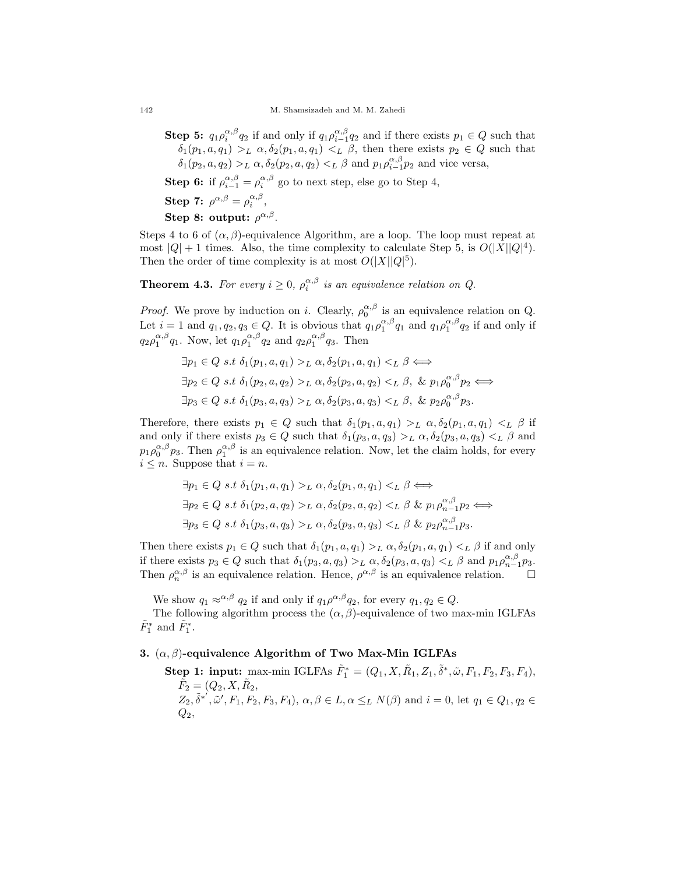**Step 5:**  $q_1 \rho_i^{\alpha,\beta} q_2$  if and only if  $q_1 \rho_{i-1}^{\alpha,\beta} q_2$  and if there exists  $p_1 \in Q$  such that  $\delta_1(p_1, a, q_1) >_L \alpha, \delta_2(p_1, a, q_1) <_L \beta$ , then there exists  $p_2 \in Q$  such that  $\delta_1(p_2, a, q_2) >_L \alpha$ ,  $\delta_2(p_2, a, q_2) <_L \beta$  and  $p_1 \rho_{i-1}^{\alpha, \beta} p_2$  and vice versa,

**Step 6:** if  $\rho_{i-1}^{\alpha,\beta} = \rho_i^{\alpha,\beta}$  go to next step, else go to Step 4,

Step 7:  $\rho^{\alpha,\beta} = \rho_i^{\alpha,\beta},$ 

Step 8: output:  $\rho^{\alpha,\beta}$ .

Steps 4 to 6 of  $(\alpha, \beta)$ -equivalence Algorithm, are a loop. The loop must repeat at most  $|Q| + 1$  times. Also, the time complexity to calculate Step 5, is  $O(|X||Q|^4)$ . Then the order of time complexity is at most  $O(|X||Q|^5)$ .

**Theorem 4.3.** For every  $i \geq 0$ ,  $\rho_i^{\alpha,\beta}$  is an equivalence relation on Q.

*Proof.* We prove by induction on i. Clearly,  $\rho_0^{\alpha,\beta}$  is an equivalence relation on Q. Let  $i = 1$  and  $q_1, q_2, q_3 \in Q$ . It is obvious that  $q_1 \rho_1^{\alpha,\beta} q_1$  and  $q_1 \rho_1^{\alpha,\beta} q_2$  if and only if  $q_2 \rho_1^{\alpha,\beta} q_1$ . Now, let  $q_1 \rho_1^{\alpha,\beta} q_2$  and  $q_2 \rho_1^{\alpha,\beta} q_3$ . Then

$$
\exists p_1 \in Q \ s.t \ \delta_1(p_1, a, q_1) >_L \alpha, \delta_2(p_1, a, q_1) <_L \beta \iff
$$
\n
$$
\exists p_2 \in Q \ s.t \ \delta_1(p_2, a, q_2) >_L \alpha, \delta_2(p_2, a, q_2) <_L \beta, \ \& p_1 \rho_0^{\alpha, \beta} p_2 \iff
$$
\n
$$
\exists p_3 \in Q \ s.t \ \delta_1(p_3, a, q_3) >_L \alpha, \delta_2(p_3, a, q_3) <_L \beta, \ \& p_2 \rho_0^{\alpha, \beta} p_3.
$$

Therefore, there exists  $p_1 \in Q$  such that  $\delta_1(p_1, a, q_1) >_L \alpha, \delta_2(p_1, a, q_1) <_L \beta$  if and only if there exists  $p_3 \in Q$  such that  $\delta_1(p_3, a, q_3) >_L \alpha$ ,  $\delta_2(p_3, a, q_3) <_L \beta$  and  $p_1\rho_0^{\alpha,\beta}p_3$ . Then  $\rho_1^{\alpha,\beta}$  is an equivalence relation. Now, let the claim holds, for every  $i \leq n$ . Suppose that  $i = n$ .

$$
\exists p_1 \in Q \ s.t \ \delta_1(p_1, a, q_1) >_L \alpha, \delta_2(p_1, a, q_1) <_L \beta \iff
$$
\n
$$
\exists p_2 \in Q \ s.t \ \delta_1(p_2, a, q_2) >_L \alpha, \delta_2(p_2, a, q_2) <_L \beta \ \& p_1\rho_{n-1}^{\alpha, \beta} p_2 \iff
$$
\n
$$
\exists p_3 \in Q \ s.t \ \delta_1(p_3, a, q_3) >_L \alpha, \delta_2(p_3, a, q_3) <_L \beta \ \& p_2\rho_{n-1}^{\alpha, \beta} p_3.
$$

Then there exists  $p_1 \in Q$  such that  $\delta_1(p_1, a, q_1) >_L \alpha$ ,  $\delta_2(p_1, a, q_1) <_L \beta$  if and only if there exists  $p_3 \in Q$  such that  $\delta_1(p_3, a, q_3) >_L \alpha$ ,  $\delta_2(p_3, a, q_3) <_L \beta$  and  $p_1 \rho_{n-1}^{\alpha, \beta} p_3$ . Then  $\rho_n^{\alpha,\beta}$  is an equivalence relation. Hence,  $\rho^{\alpha,\beta}$  is an equivalence relation.  $\square$ 

We show  $q_1 \approx^{\alpha,\beta} q_2$  if and only if  $q_1 \rho^{\alpha,\beta} q_2$ , for every  $q_1, q_2 \in Q$ .

The following algorithm process the  $(\alpha, \beta)$ -equivalence of two max-min IGLFAs  $\tilde{F}_1^*$  and  $\tilde{F}_1^*$ .

# 3.  $(\alpha, \beta)$ -equivalence Algorithm of Two Max-Min IGLFAs

**Step 1: input:** max-min IGLFAs  $\tilde{F}_1^* = (Q_1, X, \tilde{R}_1, Z_1, \tilde{\delta}^*, \tilde{\omega}, F_1, F_2, F_3, F_4),$  $\tilde{F}_2 = (Q_2, X, \tilde{R}_2,$  $Z_2, \tilde{\delta}^{*'}, \tilde{\omega}', F_1, F_2, F_3, F_4$ ,  $\alpha, \beta \in L, \alpha \leq_L N(\beta)$  and  $i = 0$ , let  $q_1 \in Q_1, q_2 \in$  $Q_2$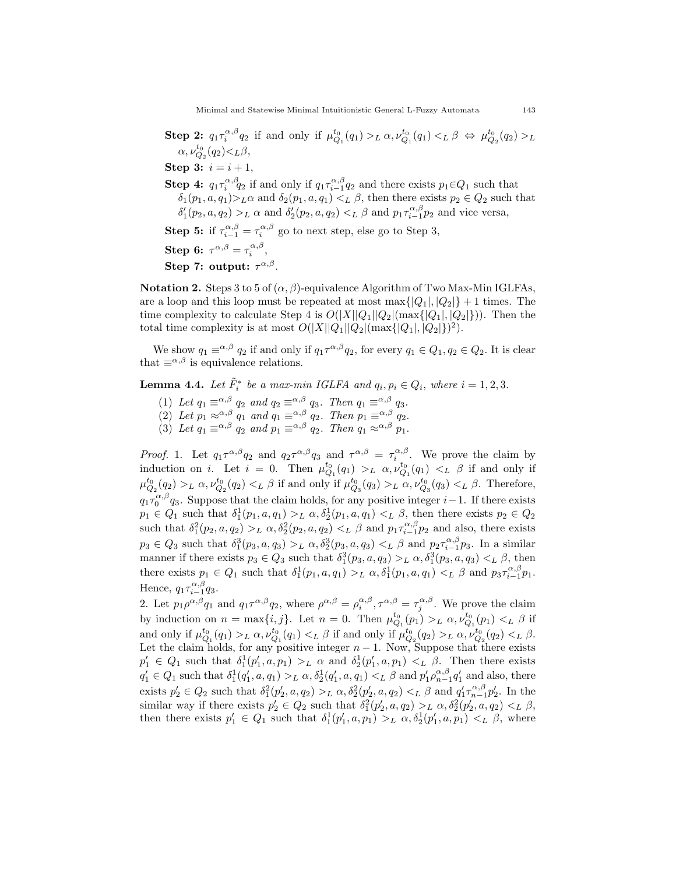Step 2:  $q_1 \tau_i^{\alpha,\beta} q_2$  if and only if  $\mu_{Q_1}^{t_0}(q_1) >_L \alpha$ ,  $\nu_{Q_1}^{t_0}(q_1) <_L \beta \Leftrightarrow \mu_{Q_2}^{t_0}(q_2) >_L$  $\alpha, \nu_{Q_2}^{t_0}(q_2) < L\beta,$ Step 3:  $i = i + 1$ , **Step 4:**  $q_1 \tau_i^{\alpha,\beta} q_2$  if and only if  $q_1 \tau_{i-1}^{\alpha,\beta} q_2$  and there exists  $p_1 \in Q_1$  such that  $\delta_1(p_1, a, q_1) >_L \alpha$  and  $\delta_2(p_1, a, q_1) <_L \beta$ , then there exists  $p_2 \in Q_2$  such that  $\delta'_1(p_2, a, q_2) >_L \alpha$  and  $\delta'_2(p_2, a, q_2) <_L \beta$  and  $p_1 \tau_{i-1}^{\alpha, \beta} p_2$  and vice versa, **Step 5:** if  $\tau_{i-1}^{\alpha,\beta} = \tau_i^{\alpha,\beta}$  go to next step, else go to Step 3, Step 6:  $\tau^{\alpha,\beta} = \tau_i^{\alpha,\beta},$ Step 7: output:  $\tau^{\alpha,\beta}$ .

**Notation 2.** Steps 3 to 5 of  $(\alpha, \beta)$ -equivalence Algorithm of Two Max-Min IGLFAs, are a loop and this loop must be repeated at most  $\max\{|Q_1|, |Q_2|\}+1$  times. The time complexity to calculate Step 4 is  $O(|X||Q_1||Q_2|(\max\{|Q_1|, |Q_2|\}))$ . Then the total time complexity is at most  $O(|X||Q_1||Q_2|(\max\{|Q_1|, |Q_2|\})^2)$ .

We show  $q_1 \equiv^{\alpha,\beta} q_2$  if and only if  $q_1 \tau^{\alpha,\beta} q_2$ , for every  $q_1 \in Q_1, q_2 \in Q_2$ . It is clear that  $\equiv^{\alpha,\beta}$  is equivalence relations.

**Lemma 4.4.** Let  $\tilde{F}_i^*$  be a max-min IGLFA and  $q_i, p_i \in Q_i$ , where  $i = 1, 2, 3$ .

- (1) Let  $q_1 \equiv^{\alpha,\beta} q_2$  and  $q_2 \equiv^{\alpha,\beta} q_3$ . Then  $q_1 \equiv^{\alpha,\beta} q_3$ .
- (2) Let  $p_1 \approx^{\alpha,\beta} q_1$  and  $q_1 \equiv^{\alpha,\beta} q_2$ . Then  $p_1 \equiv^{\alpha,\beta} q_2$ .
- (3) Let  $q_1 \equiv^{\alpha,\beta} q_2$  and  $p_1 \equiv^{\alpha,\beta} q_2$ . Then  $q_1 \approx^{\alpha,\beta} p_1$ .

*Proof.* 1. Let  $q_1 \tau^{\alpha,\beta} q_2$  and  $q_2 \tau^{\alpha,\beta} q_3$  and  $\tau^{\alpha,\beta} = \tau^{\alpha,\beta}_i$ . We prove the claim by induction on *i*. Let  $i = 0$ . Then  $\mu_{Q_1}^{t_0}(q_1) >_L \alpha$ ,  $\nu_{Q_1}^{t_0}(q_1) <_L \beta$  if and only if  $\mu_{Q_2}^{t_0}(q_2) >_L \alpha, \nu_{Q_2}^{t_0}(q_2) <_L \beta$  if and only if  $\mu_{Q_3}^{t_0}(q_3) >_L \alpha, \nu_{Q_3}^{t_0}(q_3) <_L \beta$ . Therefore,  $q_1\tau_0^{\alpha,\beta}q_3$ . Suppose that the claim holds, for any positive integer  $i-1$ . If there exists  $p_1 \in Q_1$  such that  $\delta_1^1(p_1, a, q_1) >_L \alpha$ ,  $\delta_2^1(p_1, a, q_1) <_L \beta$ , then there exists  $p_2 \in Q_2$ such that  $\delta_1^2(p_2, a, q_2) >_L \alpha$ ,  $\delta_2^2(p_2, a, q_2) <_L \beta$  and  $p_1 \tau_{i-1}^{\alpha, \beta} p_2$  and also, there exists  $p_3 \in Q_3$  such that  $\delta_1^3(p_3, a, q_3) >_L \alpha$ ,  $\delta_2^3(p_3, a, q_3) <_L \beta$  and  $p_2 \tau_{i-1}^{\alpha, \beta} p_3$ . In a similar manner if there exists  $p_3 \in Q_3$  such that  $\delta_1^3(p_3, a, q_3) >_L \alpha$ ,  $\delta_1^3(p_3, a, q_3) <_L \beta$ , then there exists  $p_1 \in Q_1$  such that  $\delta_1^1(p_1, a, q_1) >_L \alpha, \delta_1^1(p_1, a, q_1) <_L \beta$  and  $p_3 \tau_{i-1}^{\alpha, \beta} p_1$ . Hence,  $q_1 \tau_{i-1}^{\alpha,\beta} q_3$ .

2. Let  $p_1 \rho^{\alpha,\beta} q_1$  and  $q_1 \tau^{\alpha,\beta} q_2$ , where  $\rho^{\alpha,\beta} = \rho_i^{\alpha,\beta}, \tau^{\alpha,\beta} = \tau_j^{\alpha,\beta}$ . We prove the claim by induction on  $n = \max\{i, j\}$ . Let  $n = 0$ . Then  $\mu_{Q_1}^{t_0}(p_1) >_L \alpha$ ,  $\nu_{Q_1}^{t_0}(p_1) <_L \beta$  if and only if  $\mu_{Q_1}^{t_0}(q_1) >_L \alpha$ ,  $\nu_{Q_1}^{t_0}(q_1) <_L \beta$  if and only if  $\mu_{Q_2}^{t_0}(q_2) >_L \alpha$ ,  $\nu_{Q_2}^{t_0}(q_2) <_L \beta$ . Let the claim holds, for any positive integer  $n-1$ . Now, Suppose that there exists  $p'_1 \in Q_1$  such that  $\delta_1^1(p'_1, a, p_1) >_L \alpha$  and  $\delta_2^1(p'_1, a, p_1) <_L \beta$ . Then there exists  $q'_1 \in Q_1$  such that  $\delta_1^1(q'_1, a, q_1) >_L \alpha$ ,  $\delta_2^1(q'_1, a, q_1) <_L \beta$  and  $p'_1 \rho_{n-1}^{\alpha, \beta} q'_1$  and also, there exists  $p'_2 \in Q_2$  such that  $\delta_1^2(p'_2, a, q_2) >_L \alpha$ ,  $\delta_2^2(p'_2, a, q_2) <_L \beta$  and  $q'_1 \tau_{n-1}^{\alpha, \beta} p'_2$ . In the similar way if there exists  $p'_2 \in Q_2$  such that  $\delta_1^2(p'_2, a, q_2) >_L \alpha, \delta_2^2(p'_2, a, q_2) <_L \beta$ , then there exists  $p'_1 \in Q_1$  such that  $\delta_1^1(p'_1, a, p_1) >_L \alpha, \delta_2^1(p'_1, a, p_1) <_L \beta$ , where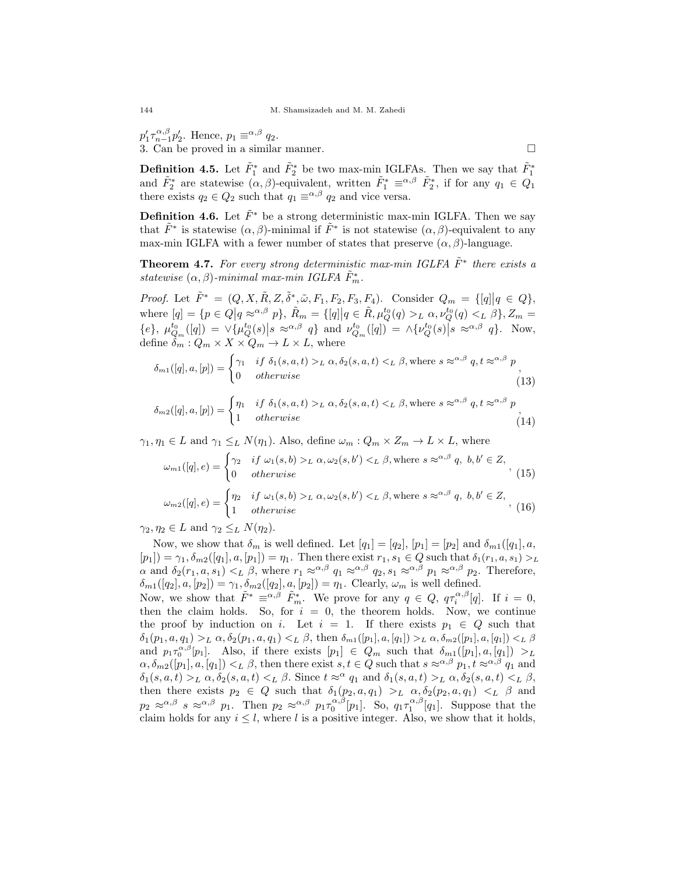$p'_1 \tau_{n-1}^{\alpha,\beta} p'_2$ . Hence,  $p_1 \equiv^{\alpha,\beta} q_2$ . 3. Can be proved in a similar manner.

**Definition 4.5.** Let 
$$
\tilde{F}_1^*
$$
 and  $\tilde{F}_2^*$  be two max-min IGLFAs. Then we say that  $\tilde{F}_1^*$  and  $\tilde{F}_2^*$  are statewise  $(\alpha, \beta)$ -equivalent, written  $\tilde{F}_1^* \equiv^{\alpha, \beta} \tilde{F}_2^*$ , if for any  $q_1 \in Q_1$  there exists  $q_2 \in Q_2$  such that  $q_1 \equiv^{\alpha, \beta} q_2$  and vice versa.

**Definition 4.6.** Let  $\tilde{F}^*$  be a strong deterministic max-min IGLFA. Then we say that  $\tilde{F}^*$  is statewise  $(\alpha, \beta)$ -minimal if  $\tilde{F}^*$  is not statewise  $(\alpha, \beta)$ -equivalent to any max-min IGLFA with a fewer number of states that preserve  $(\alpha, \beta)$ -language.

**Theorem 4.7.** For every strong deterministic max-min IGLFA  $\tilde{F}^*$  there exists a statewise  $(\alpha, \beta)$ -minimal max-min IGLFA  $\tilde{F}_m^*$ .

Proof. Let  $\tilde{F}^* = (Q, X, \tilde{R}, Z, \tilde{\delta}^*, \tilde{\omega}, F_1, F_2, F_3, F_4)$ . Consider  $Q_m = \{ [q] | q \in Q \}$ , where  $[q] = \{p \in Q | q \approx^{\alpha, \beta} p\}, \ \tilde{R}_m = \{[q] | q \in \tilde{R}, \mu_Q^{t_0}(q) >_L \alpha, \nu_Q^{t_0}(q) <_L \beta\}, Z_m =$  $\{\epsilon\}, \mu_{Q_m}^{t_0}([q]) = \vee \{\mu_Q^{t_0}(s) | s \approx \alpha, \beta \}$  and  $\nu_{Q_m}^{t_0}([q]) = \wedge \{\nu_Q^{t_0}(s) | s \approx \alpha, \beta \}$ . Now, define  $\delta_m: Q_m \times X \times Q_m \to L \times L$ , where

$$
\delta_{m1}([q], a, [p]) = \begin{cases} \gamma_1 & \text{if } \delta_1(s, a, t) >_L \alpha, \delta_2(s, a, t) <_L \beta, \text{where } s \approx^{\alpha, \beta} q, t \approx^{\alpha, \beta} p \\ 0 & \text{otherwise} \end{cases} \tag{13}
$$

$$
\delta_{m2}([q], a, [p]) = \begin{cases} \eta_1 & \text{if } \delta_1(s, a, t) >_L \alpha, \delta_2(s, a, t) <_L \beta, \text{where } s \approx^{\alpha, \beta} q, t \approx^{\alpha, \beta} p \\ 1 & \text{otherwise} \end{cases} \tag{14}
$$

 $\gamma_1, \eta_1 \in L$  and  $\gamma_1 \leq_L N(\eta_1)$ . Also, define  $\omega_m : Q_m \times Z_m \to L \times L$ , where

$$
\omega_{m1}([q], e) = \begin{cases}\n\gamma_2 & \text{if } \omega_1(s, b) >_L \alpha, \omega_2(s, b') <_L \beta, \text{where } s \approx^{\alpha, \beta} q, \ b, b' \in Z, \\
0 & \text{otherwise}\n\end{cases},\n\tag{15}
$$
\n
$$
\omega_{m2}([q], e) = \begin{cases}\n\eta_2 & \text{if } \omega_1(s, b) >_L \alpha, \omega_2(s, b') <_L \beta, \text{where } s \approx^{\alpha, \beta} q, \ b, b' \in Z, \\
1 & \text{otherwise}\n\end{cases},\n\tag{16}
$$

 $^{-}$  1 otherwise

 $\gamma_2, \eta_2 \in L$  and  $\gamma_2 \leq_L N(\eta_2)$ .

Now, we show that  $\delta_m$  is well defined. Let  $[q_1] = [q_2]$ ,  $[p_1] = [p_2]$  and  $\delta_{m1}([q_1], a$ ,  $[p_1]$ ) =  $\gamma_1, \delta_{m2}([q_1], a, [p_1]) = \eta_1$ . Then there exist  $r_1, s_1 \in Q$  such that  $\delta_1(r_1, a, s_1) >_L$  $\alpha$  and  $\delta_2(r_1, a, s_1) <_L \beta$ , where  $r_1 \approx^{\alpha, \beta} q_1 \approx^{\alpha, \beta} q_2, s_1 \approx^{\alpha, \beta} p_1 \approx^{\alpha, \beta} p_2$ . Therefore,  $\delta_{m1}([q_2], a, [p_2]) = \gamma_1, \delta_{m2}([q_2], a, [p_2]) = \eta_1$ . Clearly,  $\omega_m$  is well defined.

Now, we show that  $\tilde{F}^* \equiv^{\alpha,\beta} \tilde{F}_{m}^*$ . We prove for any  $q \in Q$ ,  $q\tau_i^{\alpha,\beta}[q]$ . If  $i = 0$ , then the claim holds. So, for  $i = 0$ , the theorem holds. Now, we continue the proof by induction on i. Let  $i = 1$ . If there exists  $p_1 \in Q$  such that  $\delta_1(p_1, a, q_1) >_L \alpha, \delta_2(p_1, a, q_1) <_L \beta$ , then  $\delta_{m_1}([p_1], a, [q_1]) >_L \alpha, \delta_{m_2}([p_1], a, [q_1]) <_L \beta$ and  $p_1 \tau_0^{\alpha,\beta}[p_1]$ . Also, if there exists  $[p_1] \in Q_m$  such that  $\delta_{m1}([p_1], a, [q_1]) >_L$  $\alpha, \delta_{m2}([p_1], a, [q_1]) <_L \beta$ , then there exist  $s, t \in Q$  such that  $s \approx \alpha, \beta, p_1, t \approx \alpha, \beta, q_1$  and  $\delta_1(s, a, t) >_L \alpha, \delta_2(s, a, t) <_L \beta$ . Since  $t \approx^\alpha q_1$  and  $\delta_1(s, a, t) >_L \alpha, \delta_2(s, a, t) <_L \beta$ , then there exists  $p_2 \in Q$  such that  $\delta_1(p_2, a, q_1) >_L \alpha, \delta_2(p_2, a, q_1) <_L \beta$  and  $p_2 \approx^{\alpha,\beta} s \approx^{\alpha,\beta} p_1$ . Then  $p_2 \approx^{\alpha,\beta} p_1 \tau_0^{\alpha,\beta}[p_1]$ . So,  $q_1 \tau_1^{\alpha,\beta}[q_1]$ . Suppose that the claim holds for any  $i \leq l$ , where l is a positive integer. Also, we show that it holds,

$$
\Box
$$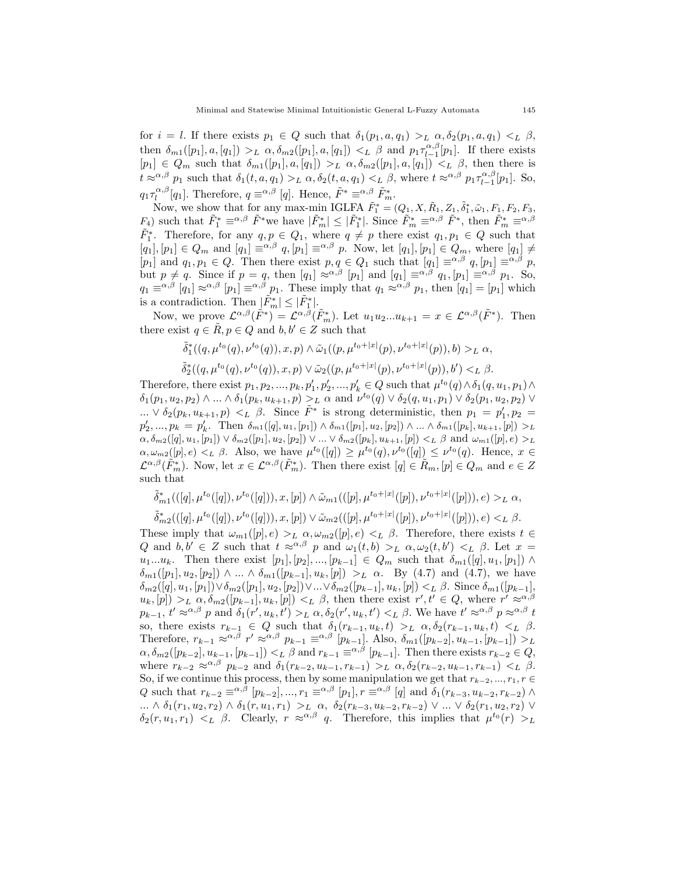for  $i = l$ . If there exists  $p_1 \in Q$  such that  $\delta_1(p_1, a, q_1) >_L \alpha, \delta_2(p_1, a, q_1) <_L \beta$ , then  $\delta_{m1}([p_1], a, [q_1]) >_L \alpha, \delta_{m2}([p_1], a, [q_1]) <_L \beta$  and  $p_1 \tau_{l-1}^{\alpha, \beta}[p_1]$ . If there exists  $[p_1] \in Q_m$  such that  $\delta_{m1}([p_1], a, [q_1]) >_L \alpha, \delta_{m2}([p_1], a, [q_1]) <_L \beta$ , then there is  $t \approx \alpha, \beta \, p_1$  such that  $\delta_1(t, a, q_1) >_L \alpha, \delta_2(t, a, q_1) <_L \beta$ , where  $t \approx \alpha, \beta \, p_1 \tau_{l-1}^{\alpha, \beta}[p_1]$ . So,  $q_1 \tau_l^{\alpha,\beta}[q_1]$ . Therefore,  $q \equiv^{\alpha,\beta} [q]$ . Hence,  $\tilde{F}^* \equiv^{\alpha,\beta} \tilde{F}^*_{m}$ .

Now, we show that for any max-min IGLFA  $\tilde{F}_1^* = (Q_1, X, \tilde{R}_1, Z_1, \tilde{\delta}_1^*, \tilde{\omega}_1, F_1, F_2, F_3,$  $F_4$ ) such that  $\tilde{F}_1^* \equiv^{\alpha,\beta} \tilde{F}^*$  we have  $|\tilde{F}_m^*| \leq |\tilde{F}_1^*|$ . Since  $\tilde{F}_m^* \equiv^{\alpha,\beta} \tilde{F}^*$ , then  $\tilde{F}_m^* \equiv^{\alpha,\beta}$  $\tilde{F}_1^*$ . Therefore, for any  $q, p \in Q_1$ , where  $q \neq p$  there exist  $q_1, p_1 \in Q$  such that  $[q_1],[p_1]\in Q_m$  and  $[q_1]\equiv^{\alpha,\beta}q,[p_1]\equiv^{\alpha,\beta}p$ . Now, let  $[q_1],[p_1]\in Q_m$ , where  $[q_1]\neq^{\beta}q$ [p<sub>1</sub>] and  $q_1, p_1 \in Q$ . Then there exist  $p, q \in Q_1$  such that  $[q_1] \equiv^{\alpha, \beta} q$ ,  $[p_1] \equiv^{\alpha, \beta} p$ , but  $p \neq q$ . Since if  $p = q$ , then  $[q_1] \approx^{\alpha,\beta} [p_1]$  and  $[q_1] \equiv^{\alpha,\beta} q_1$ ,  $[p_1] \equiv^{\alpha,\beta} p_1$ . So,  $q_1 \equiv^{\alpha,\beta} [q_1] \approx^{\alpha,\beta} [p_1] \equiv^{\alpha,\beta} p_1$ . These imply that  $q_1 \approx^{\alpha,\beta} p_1$ , then  $[q_1] = [p_1]$  which is a contradiction. Then  $|\tilde{F}_m^*| \leq |\tilde{F}_1^*|$ .

Now, we prove  $\mathcal{L}^{\alpha,\beta}(\tilde{F}^*) = \mathcal{L}^{\alpha,\bar{\beta}}(\tilde{F}^*_m)$ . Let  $u_1u_2...u_{k+1} = x \in \mathcal{L}^{\alpha,\beta}(\tilde{F}^*)$ . Then there exist  $q \in \tilde{R}$ ,  $p \in Q$  and  $b, b' \in Z$  such that

$$
\tilde{\delta}^*_1((q,\mu^{t_0}(q),\nu^{t_0}(q)),x,p) \wedge \tilde{\omega}_1((p,\mu^{t_0+|x|}(p),\nu^{t_0+|x|}(p)),b) >_L \alpha,
$$
  

$$
\tilde{\delta}^*_2((q,\mu^{t_0}(q),\nu^{t_0}(q)),x,p) \vee \tilde{\omega}_2((p,\mu^{t_0+|x|}(p),\nu^{t_0+|x|}(p)),b') <_L \beta.
$$

Therefore, there exist  $p_1, p_2, ..., p_k, p'_1, p'_2, ..., p'_k \in Q$  such that  $\mu^{t_0}(q) \wedge \delta_1(q, u_1, p_1) \wedge$  $\delta_1(p_1, u_2, p_2) \wedge ... \wedge \delta_1(p_k, u_{k+1}, p) >_L \alpha$  and  $\nu^{t_0}(q) \vee \delta_2(q, u_1, p_1) \vee \delta_2(p_1, u_2, p_2) \vee$ ...  $\vee \delta_2(p_k, u_{k+1}, p) \lt_L \beta$ . Since  $\tilde{F}^*$  is strong deterministic, then  $p_1 = p'_1, p_2 =$  $p'_2, ..., p_k = p'_k$ . Then  $\delta_{m1}([q], u_1, [p_1]) \wedge \delta_{m1}([p_1], u_2, [p_2]) \wedge ... \wedge \delta_{m1}([p_k], u_{k+1}, [p]) >_L$  $\alpha, \delta_{m2}([q], u_1, [p_1]) \vee \delta_{m2}([p_1], u_2, [p_2]) \vee \ldots \vee \delta_{m2}([p_k], u_{k+1}, [p]) \lt_L \beta$  and  $\omega_{m1}([p], e) >_L$  $\alpha, \omega_{m2}([p], e) <_L \beta$ . Also, we have  $\mu^{t_0}([q]) \geq \mu^{t_0}(q), \nu^{t_0}([q]) \leq \nu^{t_0}(q)$ . Hence,  $x \in$  $\mathcal{L}^{\alpha,\beta}(\tilde{F}_m^*)$ . Now, let  $x \in \mathcal{L}^{\alpha,\beta}(\tilde{F}_m^*)$ . Then there exist  $[q] \in \tilde{R}_m$ ,  $[p] \in Q_m$  and  $e \in Z$ such that

$$
\tilde{\delta}_{m1}^*(((q),\mu^{t_0}([q]),\nu^{t_0}([q])), x, [p]) \wedge \tilde{\omega}_{m1}(([p],\mu^{t_0+|x|}([p]),\nu^{t_0+|x|}([p])), e) >_L \alpha,
$$
  

$$
\tilde{\delta}_{m2}^*(([q],\mu^{t_0}([q]),\nu^{t_0}([q])), x, [p]) \vee \tilde{\omega}_{m2}(([p],\mu^{t_0+|x|}([p]),\nu^{t_0+|x|}([p])), e) <_L \beta.
$$

These imply that  $\omega_{m1}([p], e) >_L \alpha, \omega_{m2}([p], e) <_L \beta$ . Therefore, there exists  $t \in$ Q and  $b, b' \in Z$  such that  $t \approx_{0}^{\alpha,\beta} p$  and  $\omega_1(t, b) >_L \alpha, \omega_2(t, b') <_L \beta$ . Let  $x =$  $u_1...u_k$ . Then there exist  $[p_1], [p_2], ..., [p_{k-1}] \in Q_m$  such that  $\delta_{m_1}([q], u_1, [p_1]) \wedge$  $\delta_{m1}([p_1], u_2, [p_2]) \wedge ... \wedge \delta_{m1}([p_{k-1}], u_k, [p]) >_L \alpha$ . By (4.7) and (4.7), we have  $\delta_{m2}([q], u_1, [p_1]) \vee \delta_{m2}([p_1], u_2, [p_2]) \vee ... \vee \delta_{m2}([p_{k-1}], u_k, [p]) \leq_L \beta$ . Since  $\delta_{m1}([p_{k-1}],$  $u_k, [p] >_L \alpha, \delta_{m2}([p_{k-1}], u_k, [p]) <_L \beta$ , then there exist  $r', t' \in Q$ , where  $r' \approx^{\alpha, \beta}$  $p_{k-1}, t' \approx^{\alpha,\beta} p$  and  $\delta_1(r', u_k, t') >_L \alpha, \delta_2(r', u_k, t') <_L \beta$ . We have  $t' \approx^{\alpha,\beta} p \approx^{\alpha,\beta} t$ so, there exists  $r_{k-1} \in Q$  such that  $\delta_1(r_{k-1}, u_k, t) >_L \alpha, \delta_2(r_{k-1}, u_k, t) <_L \beta$ . Therefore,  $r_{k-1} \approx \alpha, \beta \ r' \approx \alpha, \beta \ p_{k-1} \equiv \alpha, \beta \ [p_{k-1}]$ . Also,  $\delta_{m}(\left[p_{k-2}\right], u_{k-1}, \left[p_{k-1}\right]) >_L$  $\alpha, \delta_{m2}([p_{k-2}], u_{k-1}, [p_{k-1}]) <_L \beta$  and  $r_{k-1} \equiv \alpha, \beta \ [p_{k-1}]$ . Then there exists  $r_{k-2} \in Q$ , where  $r_{k-2} \approx^{\alpha,\beta} p_{k-2}$  and  $\delta_1(r_{k-2}, u_{k-1}, r_{k-1}) >_L \alpha, \delta_2(r_{k-2}, u_{k-1}, r_{k-1}) <_L \beta$ . So, if we continue this process, then by some manipulation we get that  $r_{k-2}, ..., r_1, r \in$ Q such that  $r_{k-2} \equiv \alpha, \beta \ [p_{k-2}], ..., r_1 \equiv \alpha, \beta \ [p_1], r \equiv \alpha, \beta \ [q]$  and  $\delta_1(r_{k-3}, u_{k-2}, r_{k-2}) \wedge$  $\ldots \wedge \delta_1(r_1, u_2, r_2) \wedge \delta_1(r, u_1, r_1) >_L \alpha, \ \delta_2(r_{k-3}, u_{k-2}, r_{k-2}) \vee \ldots \vee \delta_2(r_1, u_2, r_2) \vee$  $\delta_2(r, u_1, r_1) \leq L \beta$ . Clearly,  $r \approx \alpha, \beta \ q$ . Therefore, this implies that  $\mu^{t_0}(r) > L$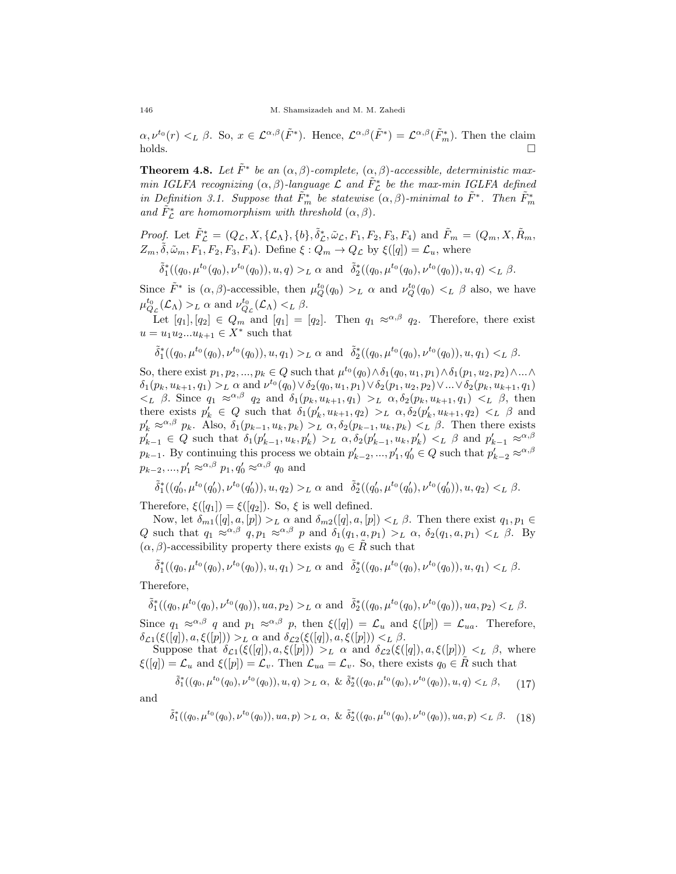$\alpha, \nu^{t_0}(r) <_L \beta$ . So,  $x \in \mathcal{L}^{\alpha,\beta}(\tilde{F}^*)$ . Hence,  $\mathcal{L}^{\alpha,\beta}(\tilde{F}^*) = \mathcal{L}^{\alpha,\beta}(\tilde{F}^*_m)$ . Then the claim  $holds.$ 

**Theorem 4.8.** Let  $\tilde{F}^*$  be an  $(\alpha, \beta)$ -complete,  $(\alpha, \beta)$ -accessible, deterministic maxmin IGLFA recognizing  $(\alpha, \beta)$ -language  $\mathcal L$  and  $\tilde{F}_{\mathcal L}^*$  be the max-min IGLFA defined in Definition 3.1. Suppose that  $\tilde{F}_m^*$  be statewise  $(\alpha, \beta)$ -minimal to  $\tilde{F}^*$ . Then  $\tilde{F}_m^*$ and  $\tilde{F}_{\mathcal{L}}^*$  are homomorphism with threshold  $(\alpha, \beta)$ .

*Proof.* Let  $\tilde{F}_{\mathcal{L}}^* = (Q_{\mathcal{L}}, X, \{\mathcal{L}_{\Lambda}\}, \{b\}, \tilde{\delta}_{\mathcal{L}}^*, \tilde{\omega}_{\mathcal{L}}, F_1, F_2, F_3, F_4)$  and  $\tilde{F}_m = (Q_m, X, \tilde{R}_m, F_1, F_2, F_3, F_4)$  $Z_m, \tilde{\delta}, \tilde{\omega}_m, F_1, F_2, F_3, F_4$ ). Define  $\xi : Q_m \to Q_{\mathcal{L}}$  by  $\xi([q]) = \mathcal{L}_u$ , where

$$
\tilde{\delta}^*_1((q_0,\mu^{t_0}(q_0),\nu^{t_0}(q_0)),u,q) >_L \alpha \text{ and } \tilde{\delta}^*_2((q_0,\mu^{t_0}(q_0),\nu^{t_0}(q_0)),u,q) <_L \beta.
$$

Since  $\tilde{F}^*$  is  $(\alpha, \beta)$ -accessible, then  $\mu_Q^{t_0}(q_0) >_L \alpha$  and  $\nu_Q^{t_0}(q_0) <_L \beta$  also, we have  $\mu_{Q_{\mathcal{L}}}^{t_0}(\mathcal{L}_{\Lambda}) >_{L} \alpha$  and  $\nu_{Q_{\mathcal{L}}}^{t_0}(\mathcal{L}_{\Lambda}) <_{L} \beta$ .

Let  $[q_1], [q_2] \in Q_m$  and  $[q_1] = [q_2]$ . Then  $q_1 \approx^{\alpha, \beta} q_2$ . Therefore, there exist  $u = u_1 u_2 ... u_{k+1} \in X^*$  such that

$$
\tilde{\delta}^*_1((q_0,\mu^{t_0}(q_0),\nu^{t_0}(q_0)),u,q_1) >_L \alpha \text{ and } \tilde{\delta}^*_2((q_0,\mu^{t_0}(q_0),\nu^{t_0}(q_0)),u,q_1) <_L \beta.
$$

So, there exist  $p_1, p_2, ..., p_k \in Q$  such that  $\mu^{t_0}(q_0) \wedge \delta_1(q_0, u_1, p_1) \wedge \delta_1(p_1, u_2, p_2) \wedge ... \wedge$  $\delta_1(p_k, u_{k+1}, q_1) >_L \alpha$  and  $\nu^{t_0}(q_0) \vee \delta_2(q_0, u_1, p_1) \vee \delta_2(p_1, u_2, p_2) \vee ... \vee \delta_2(p_k, u_{k+1}, q_1)$  $\langle L \rangle$  β. Since  $q_1 \approx^{\alpha,\beta} q_2$  and  $\delta_1(p_k, u_{k+1}, q_1) >_L \alpha, \delta_2(p_k, u_{k+1}, q_1) <_L \beta$ , then there exists  $p'_k \in Q$  such that  $\delta_1(p'_k, u_{k+1}, q_2) >_L \alpha, \delta_2(p'_k, u_{k+1}, q_2) <_L \beta$  and  $p'_k \approx^{\alpha,\beta} p_k$ . Also,  $\delta_1(p_{k-1}, u_k, p_k) >_L \alpha$ ,  $\delta_2(p_{k-1}, u_k, p_k) <_L \beta$ . Then there exists  $p'_{k-1} \in Q$  such that  $\delta_1(p'_{k-1}, u_k, p'_k) >_L \alpha, \delta_2(p'_{k-1}, u_k, p'_k) <_L \beta$  and  $p'_{k-1} \approx^{\alpha, \beta}$  $p_{k-1}$ . By continuing this process we obtain  $p'_{k-2}, ..., p'_{1}, q'_{0} \in Q$  such that  $p'_{k-2} \approx \alpha, \beta$  $p_{k-2}, ..., p_1' \approx^{\alpha,\beta} p_1, q_0' \approx^{\alpha,\beta} q_0$  and

$$
\tilde{\delta}^*_1((q'_0,\mu^{t_0}(q'_0),\nu^{t_0}(q'_0)),u,q_2) >_L \alpha \text{ and } \tilde{\delta}^*_2((q'_0,\mu^{t_0}(q'_0),\nu^{t_0}(q'_0)),u,q_2) <_L \beta.
$$

Therefore,  $\xi([q_1]) = \xi([q_2])$ . So,  $\xi$  is well defined.

Now, let  $\delta_{m1}([q], a, [p]) >_L \alpha$  and  $\delta_{m2}([q], a, [p]) <_L \beta$ . Then there exist  $q_1, p_1 \in$ Q such that  $q_1 \approx^{\alpha,\beta} q$ ,  $p_1 \approx^{\alpha,\beta} p$  and  $\delta_1(q_1, a, p_1) >_L \alpha$ ,  $\delta_2(q_1, a, p_1) <_L \beta$ . By  $(\alpha, \beta)$ -accessibility property there exists  $q_0 \in \tilde{R}$  such that

 $\tilde{\delta}^*_1((q_0,\mu^{t_0}(q_0),\nu^{t_0}(q_0)),u,q_1) >_L \alpha$  and  $\tilde{\delta}^*_2((q_0,\mu^{t_0}(q_0),\nu^{t_0}(q_0)),u,q_1) <_L \beta$ .

Therefore,

 $\tilde{\delta}_1^*((q_0,\mu^{t_0}(q_0),\nu^{t_0}(q_0)),ua,p_2) >_L \alpha$  and  $\tilde{\delta}_2^*((q_0,\mu^{t_0}(q_0),\nu^{t_0}(q_0)),ua,p_2) <_L \beta$ .

Since  $q_1 \approx^{\alpha,\beta} q$  and  $p_1 \approx^{\alpha,\beta} p$ , then  $\xi([q]) = \mathcal{L}_u$  and  $\xi([p]) = \mathcal{L}_{ua}$ . Therefore,  $\delta_{\mathcal{L}1}(\xi([q]), a, \xi([p])) >_L \alpha$  and  $\delta_{\mathcal{L}2}(\xi([q]), a, \xi([p])) <_L \beta$ .

Suppose that  $\delta_{\mathcal{L}1}(\xi([q]), a, \xi([p])) >_L \alpha$  and  $\delta_{\mathcal{L}2}(\xi([q]), a, \xi([p])) <_L \beta$ , where  $\xi([q]) = \mathcal{L}_u$  and  $\xi([p]) = \mathcal{L}_v$ . Then  $\mathcal{L}_{ua} = \mathcal{L}_v$ . So, there exists  $q_0 \in \hat{R}$  such that

$$
\tilde{\delta}_1^*((q_0,\mu^{t_0}(q_0),\nu^{t_0}(q_0)),u,q) >_L \alpha, \ \& \ \tilde{\delta}_2^*((q_0,\mu^{t_0}(q_0),\nu^{t_0}(q_0)),u,q) <_L \beta, \qquad (17)
$$

and

$$
\tilde{\delta}^*_1((q_0,\mu^{t_0}(q_0),\nu^{t_0}(q_0)),ua,p) >_L \alpha, \& \tilde{\delta}^*_2((q_0,\mu^{t_0}(q_0),\nu^{t_0}(q_0)),ua,p) <_L \beta. \tag{18}
$$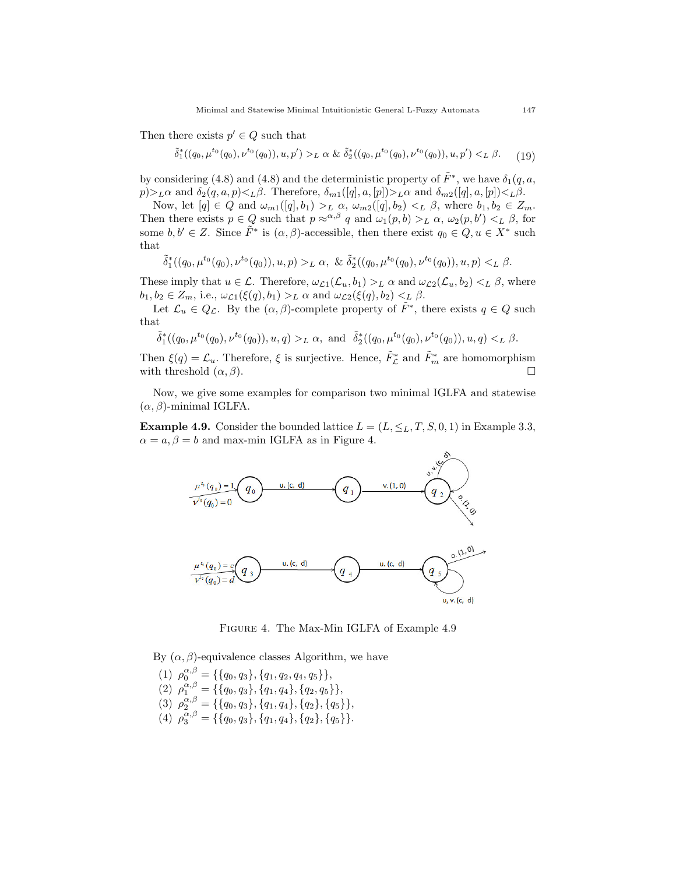Then there exists  $p' \in Q$  such that

 $\tilde{\delta}_1^*((q_0, \mu^{t_0}(q_0), \nu^{t_0}(q_0)), u, p') >_L \alpha \& \tilde{\delta}_2^*((q_0, \mu^{t_0}(q_0), \nu^{t_0}(q_0)), u, p') <_L \beta.$  (19)

by considering (4.8) and (4.8) and the deterministic property of  $\tilde{F}^*$ , we have  $\delta_1(q, a, \bar{c})$  $p\geq L\alpha$  and  $\delta_2(q, a, p)\leq L\beta$ . Therefore,  $\delta_{m1}([q], a, [p])\geq L\alpha$  and  $\delta_{m2}([q], a, [p])\leq L\beta$ .

Now, let  $[q] \in Q$  and  $\omega_{m1}([q], b_1) >_L \alpha$ ,  $\omega_{m2}([q], b_2) <_L \beta$ , where  $b_1, b_2 \in Z_m$ . Then there exists  $p \in Q$  such that  $p \approx^{\alpha,\beta} q$  and  $\omega_1(p,b) >_L \alpha$ ,  $\omega_2(p,b') <_L \beta$ , for some  $b, b' \in Z$ . Since  $\tilde{F}^*$  is  $(\alpha, \beta)$ -accessible, then there exist  $q_0 \in Q, u \in X^*$  such that

$$
\tilde{\delta}^*_1((q_0,\mu^{t_0}(q_0),\nu^{t_0}(q_0)),u,p) >_L \alpha, \& \tilde{\delta}^*_2((q_0,\mu^{t_0}(q_0),\nu^{t_0}(q_0)),u,p) <_L \beta.
$$

These imply that  $u \in \mathcal{L}$ . Therefore,  $\omega_{\mathcal{L}1}(\mathcal{L}_u, b_1) >_L \alpha$  and  $\omega_{\mathcal{L}2}(\mathcal{L}_u, b_2) <_L \beta$ , where  $b_1, b_2 \in Z_m$ , i.e.,  $\omega_{\mathcal{L}1}(\xi(q), b_1) >_L \alpha$  and  $\omega_{\mathcal{L}2}(\xi(q), b_2) <_L \beta$ .

Let  $\mathcal{L}_u \in Q_{\mathcal{L}}$ . By the  $(\alpha, \beta)$ -complete property of  $\tilde{F}^*$ , there exists  $q \in Q$  such that

$$
\tilde{\delta}^*_1((q_0,\mu^{t_0}(q_0),\nu^{t_0}(q_0)),u,q)>_L\alpha, \text{ and }\ \tilde{\delta}^*_2((q_0,\mu^{t_0}(q_0),\nu^{t_0}(q_0)),u,q)<_L\beta.
$$

Then  $\xi(q) = \mathcal{L}_u$ . Therefore,  $\xi$  is surjective. Hence,  $\tilde{F}_{\mathcal{L}}^*$  and  $\tilde{F}_m^*$  are homomorphism with threshold  $(\alpha, \beta)$ .

Now, we give some examples for comparison two minimal IGLFA and statewise  $(\alpha, \beta)$ -minimal IGLFA.

**Example 4.9.** Consider the bounded lattice  $L = (L, \leq_L, T, S, 0, 1)$  in Example 3.3,  $\alpha = a, \beta = b$  and max-min IGLFA as in Figure 4.



Figure 4. The Max-Min IGLFA of Example 4.9

By  $(\alpha, \beta)$ -equivalence classes Algorithm, we have

(1)  $\rho_0^{\alpha,\beta} = \{\{q_0, q_3\}, \{q_1, q_2, q_4, q_5\}\},\$ (2)  $\rho_1^{\alpha,\beta} = \{\{q_0, q_3\}, \{q_1, q_4\}, \{q_2, q_5\}\},\$ (3)  $\rho_2^{\alpha,\beta} = \{\{q_0,q_3\},\{q_1,q_4\},\{q_2\},\{q_5\}\},\$ (4)  $\rho_3^{\alpha,\beta} = \{\{q_0, q_3\}, \{q_1, q_4\}, \{q_2\}, \{q_5\}\}.$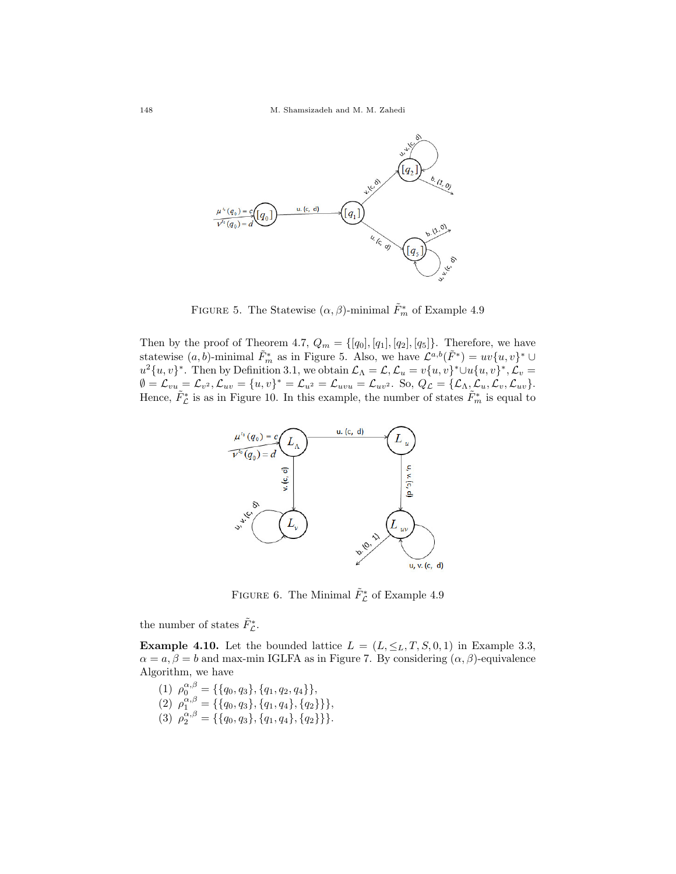

FIGURE 5. The Statewise  $(\alpha, \beta)$ -minimal  $\tilde{F}_m^*$  of Example 4.9

Then by the proof of Theorem 4.7,  $Q_m = \{[q_0], [q_1], [q_2], [q_5]\}$ . Therefore, we have statewise  $(a, b)$ -minimal  $\tilde{F}_m^*$  as in Figure 5. Also, we have  $\mathcal{L}^{a,b}(\tilde{F}^*) = uv\{u, v\}^* \cup$  $u^2\{u, v\}^*$ . Then by Definition 3.1, we obtain  $\mathcal{L}_\Lambda = \mathcal{L}, \mathcal{L}_u = v\{u, v\}^* \cup u\{u, v\}^*, \mathcal{L}_v =$  $\emptyset = \mathcal{L}_{vu} = \mathcal{L}_{v^2}, \mathcal{L}_{uv} = \{u, v\}^* = \mathcal{L}_{u^2} = \mathcal{L}_{uvu} = \mathcal{L}_{uv^2}.$  So,  $Q_{\mathcal{L}} = \{\mathcal{L}_{\Lambda}, \mathcal{L}_u, \mathcal{L}_v, \mathcal{L}_{uv}\}.$ Hence,  $\tilde{F}_{\mathcal{L}}^*$  is as in Figure 10. In this example, the number of states  $\tilde{F}_{m}^*$  is equal to



FIGURE 6. The Minimal  $\tilde{F}_{\mathcal{L}}^*$  of Example 4.9

the number of states  $\tilde{F}_{\mathcal{L}}^*$ .

**Example 4.10.** Let the bounded lattice  $L = (L, \leq_L, T, S, 0, 1)$  in Example 3.3,  $\alpha = \alpha, \beta = b$  and max-min IGLFA as in Figure 7. By considering  $(\alpha, \beta)$ -equivalence Algorithm, we have

(1)  $\rho_0^{\alpha,\beta} = \{\{q_0, q_3\}, \{q_1, q_2, q_4\}\},\$ (2)  $\rho_1^{\alpha,\beta} = \{\{q_0, q_3\}, \{q_1, q_4\}, \{q_2\}\}\},$ (3)  $\rho_2^{\alpha,\beta} = \{\{q_0, q_3\}, \{q_1, q_4\}, \{q_2\}\}\}.$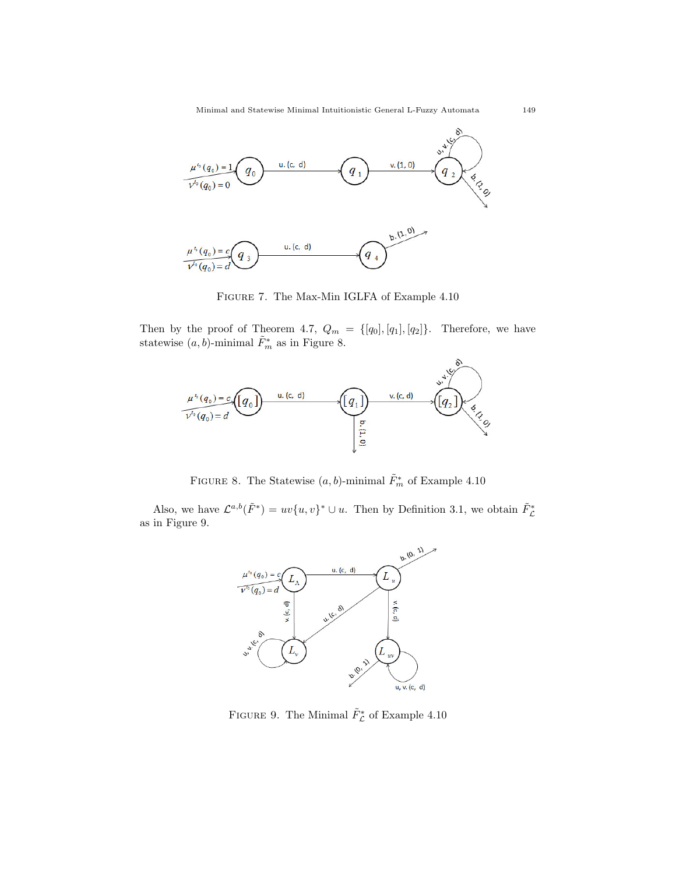

Figure 7. The Max-Min IGLFA of Example 4.10

Then by the proof of Theorem 4.7,  $Q_m = \{[q_0], [q_1], [q_2]\}.$  Therefore, we have statewise  $(a, b)$ -minimal  $\tilde{F}_m^*$  as in Figure 8.



FIGURE 8. The Statewise  $(a, b)$ -minimal  $\tilde{F}_m^*$  of Example 4.10

Also, we have  $\mathcal{L}^{a,b}(\tilde{F}^*) = uv\{u,v\}^* \cup u$ . Then by Definition 3.1, we obtain  $\tilde{F}_{\mathcal{L}}^*$ as in Figure 9.



FIGURE 9. The Minimal  $\tilde{F}_{\mathcal{L}}^*$  of Example 4.10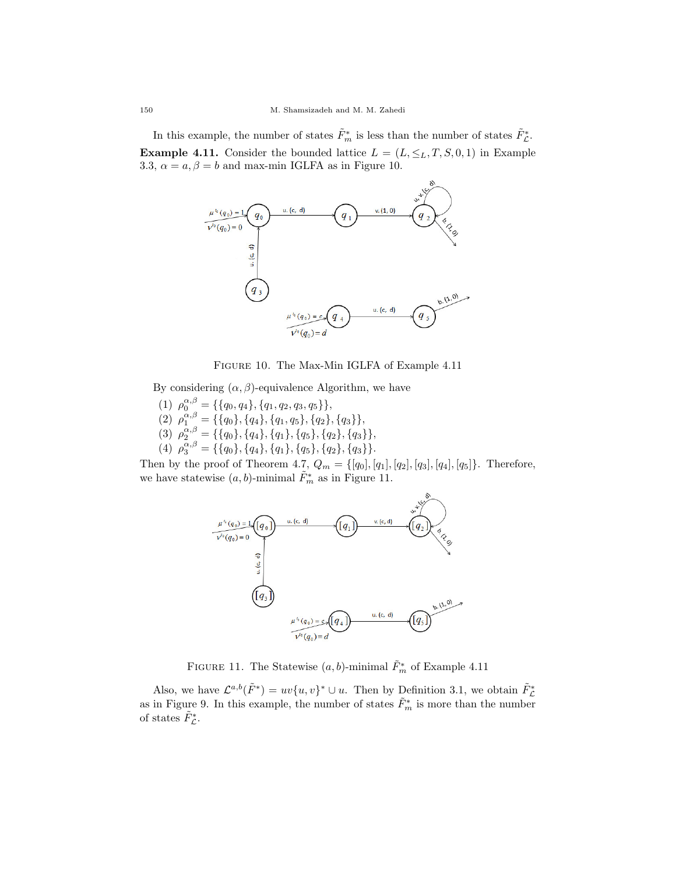In this example, the number of states  $\tilde{F}^*_m$  is less than the number of states  $\tilde{F}^*_c$ . **Example 4.11.** Consider the bounded lattice  $L = (L, \leq_L, T, S, 0, 1)$  in Example 3.3,  $\alpha = a, \beta = b$  and max-min IGLFA as in Figure 10.



Figure 10. The Max-Min IGLFA of Example 4.11

By considering  $(\alpha, \beta)$ -equivalence Algorithm, we have

(1)  $\rho_0^{\alpha,\beta} = \{\{q_0, q_4\}, \{q_1, q_2, q_3, q_5\}\},\$ (2)  $\rho_1^{\alpha,\beta} = \{\{q_0\}, \{q_4\}, \{q_1, q_5\}, \{q_2\}, \{q_3\}\},\$ (3)  $\rho_2^{\alpha,\beta} = \{\{q_0\}, \{q_4\}, \{q_1\}, \{q_5\}, \{q_2\}, \{q_3\}\},\$ (4)  $\rho_3^{\alpha,\beta} = \{\{q_0\}, \{q_4\}, \{q_1\}, \{q_5\}, \{q_2\}, \{q_3\}\}.$ 

Then by the proof of Theorem 4.7,  $Q_m = \{[q_0], [q_1], [q_2], [q_3], [q_4], [q_5]\}$ . Therefore, we have statewise  $(a, b)$ -minimal  $\tilde{F}^*_{m}$  as in Figure 11.



FIGURE 11. The Statewise  $(a, b)$ -minimal  $\tilde{F}_m^*$  of Example 4.11

Also, we have  $\mathcal{L}^{a,b}(\tilde{F}^*) = uv\{u,v\}^* \cup u$ . Then by Definition 3.1, we obtain  $\tilde{F}_{\mathcal{L}}^*$ as in Figure 9. In this example, the number of states  $\tilde{F}^*_{m}$  is more than the number of states  $\tilde{F}_{\mathcal{L}}^*$ .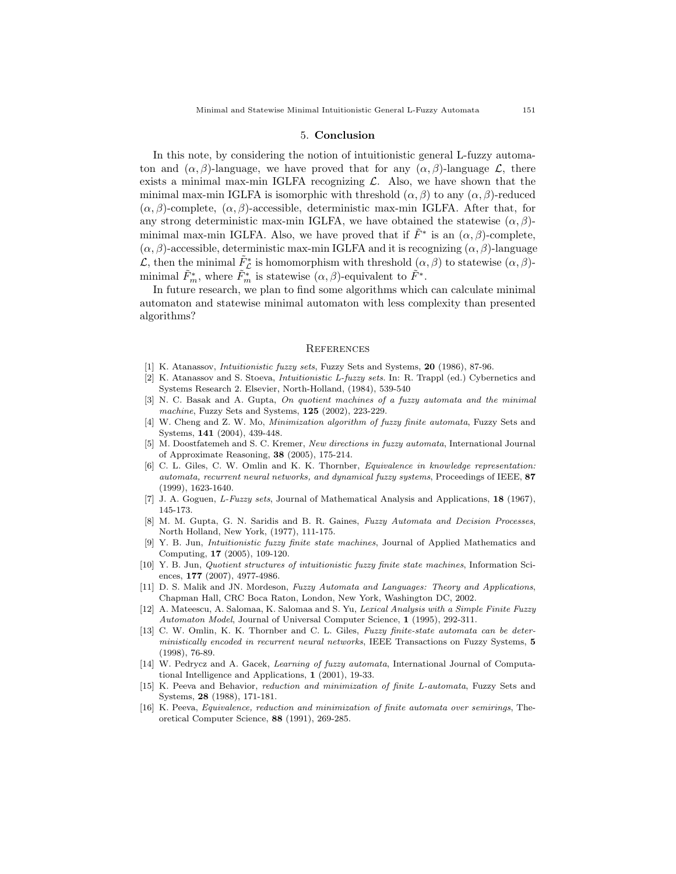#### 5. Conclusion

In this note, by considering the notion of intuitionistic general L-fuzzy automaton and  $(\alpha, \beta)$ -language, we have proved that for any  $(\alpha, \beta)$ -language  $\mathcal{L}$ , there exists a minimal max-min IGLFA recognizing  $\mathcal{L}$ . Also, we have shown that the minimal max-min IGLFA is isomorphic with threshold  $(\alpha, \beta)$  to any  $(\alpha, \beta)$ -reduced  $(\alpha, \beta)$ -complete,  $(\alpha, \beta)$ -accessible, deterministic max-min IGLFA. After that, for any strong deterministic max-min IGLFA, we have obtained the statewise  $(\alpha, \beta)$ minimal max-min IGLFA. Also, we have proved that if  $\tilde{F}^*$  is an  $(\alpha, \beta)$ -complete,  $(\alpha, \beta)$ -accessible, deterministic max-min IGLFA and it is recognizing  $(\alpha, \beta)$ -language L, then the minimal  $\tilde{F}_{\mathcal{L}}^*$  is homomorphism with threshold  $(\alpha, \beta)$  to statewise  $(\alpha, \beta)$ minimal  $\tilde{F}^*_m$ , where  $\tilde{F}^*_m$  is statewise  $(\alpha, \beta)$ -equivalent to  $\tilde{F}^*$ .

In future research, we plan to find some algorithms which can calculate minimal automaton and statewise minimal automaton with less complexity than presented algorithms?

#### **REFERENCES**

- [1] K. Atanassov, Intuitionistic fuzzy sets, Fuzzy Sets and Systems, 20 (1986), 87-96.
- [2] K. Atanassov and S. Stoeva, Intuitionistic L-fuzzy sets. In: R. Trappl (ed.) Cybernetics and Systems Research 2. Elsevier, North-Holland, (1984), 539-540
- [3] N. C. Basak and A. Gupta, On quotient machines of a fuzzy automata and the minimal machine, Fuzzy Sets and Systems, 125 (2002), 223-229.
- [4] W. Cheng and Z. W. Mo, Minimization algorithm of fuzzy finite automata, Fuzzy Sets and Systems, 141 (2004), 439-448.
- [5] M. Doostfatemeh and S. C. Kremer, New directions in fuzzy automata, International Journal of Approximate Reasoning, 38 (2005), 175-214.
- [6] C. L. Giles, C. W. Omlin and K. K. Thornber, Equivalence in knowledge representation: automata, recurrent neural networks, and dynamical fuzzy systems, Proceedings of IEEE, 87 (1999), 1623-1640.
- [7] J. A. Goguen, L-Fuzzy sets, Journal of Mathematical Analysis and Applications, 18 (1967), 145-173.
- [8] M. M. Gupta, G. N. Saridis and B. R. Gaines, Fuzzy Automata and Decision Processes, North Holland, New York, (1977), 111-175.
- [9] Y. B. Jun, Intuitionistic fuzzy finite state machines, Journal of Applied Mathematics and Computing, 17 (2005), 109-120.
- [10] Y. B. Jun, Quotient structures of intuitionistic fuzzy finite state machines, Information Sciences, 177 (2007), 4977-4986.
- [11] D. S. Malik and JN. Mordeson, Fuzzy Automata and Languages: Theory and Applications, Chapman Hall, CRC Boca Raton, London, New York, Washington DC, 2002.
- [12] A. Mateescu, A. Salomaa, K. Salomaa and S. Yu, Lexical Analysis with a Simple Finite Fuzzy Automaton Model, Journal of Universal Computer Science, 1 (1995), 292-311.
- [13] C. W. Omlin, K. K. Thornber and C. L. Giles, Fuzzy finite-state automata can be deterministically encoded in recurrent neural networks, IEEE Transactions on Fuzzy Systems, 5 (1998), 76-89.
- [14] W. Pedrycz and A. Gacek, Learning of fuzzy automata, International Journal of Computational Intelligence and Applications, 1 (2001), 19-33.
- [15] K. Peeva and Behavior, reduction and minimization of finite L-automata, Fuzzy Sets and Systems, 28 (1988), 171-181.
- [16] K. Peeva, Equivalence, reduction and minimization of finite automata over semirings, Theoretical Computer Science, 88 (1991), 269-285.